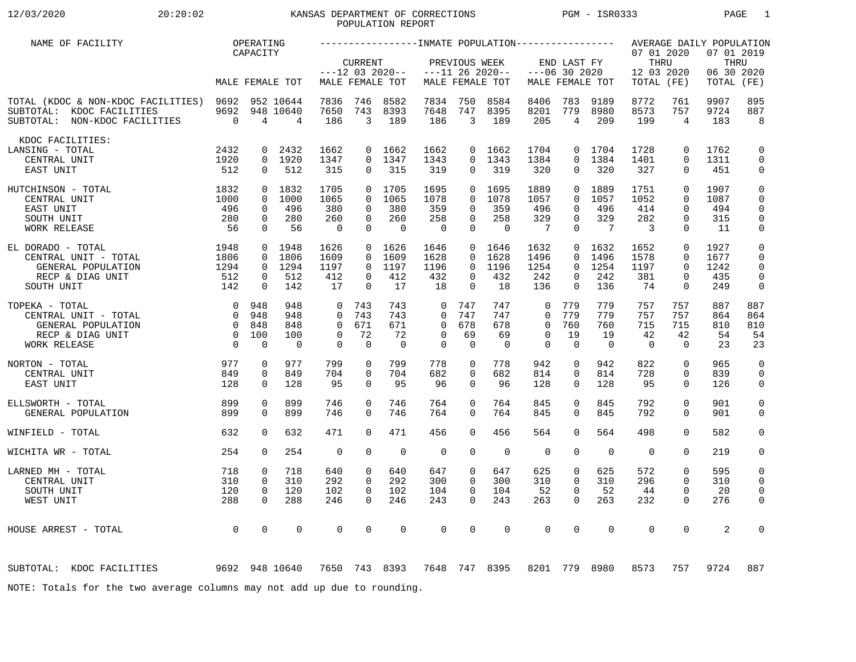# 12/03/2020 20:20:02 KANSAS DEPARTMENT OF CORRECTIONS PGM - ISR0333 PAGE 1POPULATION REPORT

| NAME OF FACILITY                                                                                                                                  |                                           | OPERATING<br>CAPACITY                                           |                                        |                                                             |                                                 |                                          |                                                             |                                              |                                          |                                                          |                                                 |                                                | 07 01 2020                                   |                                                   | AVERAGE DAILY POPULATION<br>07 01 2019 |                                                                   |
|---------------------------------------------------------------------------------------------------------------------------------------------------|-------------------------------------------|-----------------------------------------------------------------|----------------------------------------|-------------------------------------------------------------|-------------------------------------------------|------------------------------------------|-------------------------------------------------------------|----------------------------------------------|------------------------------------------|----------------------------------------------------------|-------------------------------------------------|------------------------------------------------|----------------------------------------------|---------------------------------------------------|----------------------------------------|-------------------------------------------------------------------|
|                                                                                                                                                   |                                           |                                                                 | MALE FEMALE TOT                        |                                                             | <b>CURRENT</b>                                  | $---12$ 03 2020--<br>MALE FEMALE TOT     |                                                             | PREVIOUS WEEK                                | $---11 26 2020--$<br>MALE FEMALE TOT     |                                                          | END LAST FY<br>$---06$ 30 2020                  | MALE FEMALE TOT                                | THRU<br>12 03 2020<br>TOTAL (FE)             |                                                   | THRU<br>06 30 2020<br>TOTAL (FE)       |                                                                   |
| TOTAL (KDOC & NON-KDOC FACILITIES) 9692 952 10644<br>SUBTOTAL: KDOC FACILITIES<br>SUBTOTAL: NON-KDOC FACILITIES                                   | $\overline{0}$                            | $\overline{4}$                                                  | 9692 948 10640<br>$\overline{4}$       | 7836<br>7650<br>186                                         | 746<br>743<br>$\overline{3}$                    | 8582<br>8393<br>189                      | 7834<br>7648<br>186                                         | 750<br>747<br>$\overline{3}$                 | 8584<br>8395<br>189                      | 8406<br>8201<br>205                                      | 783<br>779<br>$\overline{4}$                    | 9189<br>8980<br>209                            | 8772<br>8573<br>199                          | 761<br>757<br>$\overline{4}$                      | 9907<br>9724<br>183                    | 895<br>887<br>8                                                   |
| KDOC FACILITIES:<br>LANSING - TOTAL<br>CENTRAL UNIT<br>EAST UNIT                                                                                  | 2432<br>1920<br>512                       | $\Omega$<br>0<br>$\Omega$                                       | 2432<br>1920<br>512                    | 1662<br>1347<br>315                                         | $\Omega$                                        | 0, 1662<br>0 1347<br>315                 | 1662<br>1343<br>319                                         | $\Omega$<br>$\Omega$<br>$\cap$               | 1662<br>1343<br>319                      | 1704<br>1384<br>320                                      | $\Omega$<br>$\Omega$<br>$\Omega$                | 1704<br>1384<br>320                            | 1728<br>1401<br>327                          | $\Omega$<br>$\Omega$<br>$\Omega$                  | 1762<br>1311<br>451                    | $\Omega$<br>$\Omega$<br>$\mathbf 0$                               |
| $\begin{array}{c} 1832 \\ 1000 \\ 496 \\ 280 \end{array}$<br>HUTCHINSON - TOTAL<br>CENTRAL UNIT<br>EAST UNIT<br>SOUTH UNIT<br>WORK RELEASE        | 280<br>56                                 | $\mathbf{0}$<br>$\Omega$<br>$\Omega$<br>$\mathbf 0$<br>$\Omega$ | 1832<br>1000<br>496<br>280<br>56       | 1705<br>1065<br>380<br>260<br>$\overline{0}$                | $\Omega$<br>$\Omega$<br>$\mathbf 0$<br>$\Omega$ | 0 1705<br>1065<br>380<br>260<br>$\Omega$ | 1695<br>1078<br>359<br>258<br>$\overline{0}$                | $\Omega$<br>$\Omega$<br>$\Omega$<br>$\Omega$ | 0 1695<br>1078<br>359<br>258<br>$\Omega$ | 1889<br>1057<br>496<br>329<br>$\overline{7}$             | $\Omega$<br>$\Omega$<br>$\mathbf 0$<br>$\Omega$ | 0 1889<br>1057<br>496<br>329<br>$\overline{7}$ | 1751<br>1052<br>414<br>282<br>$\overline{3}$ | $\Omega$<br>$\Omega$<br>$\Omega$<br>0<br>$\Omega$ | 1907<br>1087<br>494<br>315<br>11       | $\mathbf 0$<br>$\Omega$<br>$\Omega$<br>$\mathbf 0$<br>$\mathbf 0$ |
| 1948<br>1806<br>1294<br>EL DORADO - TOTAL<br>CENTRAL UNIT - TOTAL<br>GENERAL POPULATION<br>RECP & DIAG UNIT<br>$-274$<br>512<br>142<br>SOUTH UNIT |                                           | $\mathbf 0$<br>$\Omega$<br>$\mathbf 0$<br>$\Omega$              | 0 1948<br>1806<br>1294<br>512<br>142   | 1626<br>1609<br>1197<br>412<br>17                           | $\Omega$<br>$\Omega$<br>$\Omega$<br>$\Omega$    | 0, 1626<br>1609<br>1197<br>412<br>17     | 1646<br>1628<br>1196<br>432<br>18                           | $\Omega$<br>$\Omega$<br>$\Omega$<br>$\Omega$ | 0 1646<br>1628<br>1196<br>432<br>18      | 1632<br>1496<br>1254<br>242<br>136                       | $\Omega$<br>$\Omega$<br>$\mathbf 0$<br>$\Omega$ | 0, 1632<br>1496<br>1254<br>242<br>136          | 1652<br>1578<br>1197<br>381<br>74            | $\Omega$<br>0<br>$\Omega$<br>0<br>$\Omega$        | 1927<br>1677<br>1242<br>435<br>249     | $\Omega$<br>0<br>$\Omega$<br>$\mathbf 0$<br>$\Omega$              |
| $\begin{matrix}0&948\0&948\end{matrix}$<br>TOPEKA - TOTAL<br>CENTRAL UNIT - TOTAL<br>GENERAL POPULATION<br>RECP & DIAG UNIT<br>WORK RELEASE       | 0 848<br>$\overline{0}$<br>$\overline{0}$ | 100<br>$\Omega$                                                 | 948<br>948<br>848<br>100<br>$\bigcirc$ | $\Omega$<br>$\Omega$<br>$\Omega$<br>$\Omega$<br>$\mathbf 0$ | 743<br>743<br>671<br>72<br>$\Omega$             | 743<br>743<br>671<br>72<br>$\bigcap$     | $\Omega$<br>$\Omega$<br>$\Omega$<br>$\Omega$<br>$\mathbf 0$ | 747<br>747<br>678<br>69<br>$\Omega$          | 747<br>747<br>678<br>69<br>$\Omega$      | $\Omega$<br>$\Omega$<br>$\Omega$<br>$\Omega$<br>$\Omega$ | 779<br>779<br>760<br>19<br>$\Omega$             | 779<br>779<br>760<br>19<br>$\Omega$            | 757<br>757<br>715<br>42<br>$\Omega$          | 757<br>757<br>715<br>42<br>0                      | 887<br>864<br>810<br>54<br>23          | 887<br>864<br>810<br>54<br>23                                     |
| 977<br>NORTON - TOTAL<br>CENTRAL UNIT<br>EAST UNIT                                                                                                | 849<br>128                                | $\Omega$<br>$\Omega$<br>$\Omega$                                | 977<br>849<br>128                      | 799<br>704<br>95                                            | $\Omega$<br>$\Omega$<br>$\Omega$                | 799<br>704<br>95                         | 778<br>682<br>96                                            | $\Omega$<br>$\Omega$<br>$\Omega$             | 778<br>682<br>96                         | 942<br>814<br>128                                        | $\Omega$<br>$\mathbf 0$<br>$\Omega$             | 942<br>814<br>128                              | 822<br>728<br>95                             | $\Omega$<br>$\Omega$<br>$\Omega$                  | 965<br>839<br>126                      | $\Omega$<br>$\mathbf 0$<br>$\Omega$                               |
| ELLSWORTH - TOTAL<br>GENERAL POPULATION                                                                                                           | 899<br>899                                | $\Omega$<br>$\Omega$                                            | 899<br>899                             | 746<br>746                                                  | $\Omega$<br>$\Omega$                            | 746<br>746                               | 764<br>764                                                  | $\Omega$<br>$\Omega$                         | 764<br>764                               | 845<br>845                                               | $\Omega$<br>$\Omega$                            | 845<br>845                                     | 792<br>792                                   | $\Omega$<br>$\Omega$                              | 901<br>901                             | $\mathbf 0$<br>$\Omega$                                           |
| WINFIELD - TOTAL                                                                                                                                  | 632                                       | 0                                                               | 632                                    | 471                                                         | $\Omega$                                        | 471                                      | 456                                                         | $\Omega$                                     | 456                                      | 564                                                      | $\Omega$                                        | 564                                            | 498                                          | $\Omega$                                          | 582                                    | $\mathbf 0$                                                       |
| WICHITA WR - TOTAL                                                                                                                                | 254                                       | $\Omega$                                                        | 254                                    | $\Omega$                                                    | $\Omega$                                        | $\Omega$                                 | $\Omega$                                                    | $\Omega$                                     | $\Omega$                                 | $\Omega$                                                 | $\Omega$                                        | $\Omega$                                       | $\Omega$                                     | $\Omega$                                          | 219                                    | $\mathbf 0$                                                       |
| LARNED MH - TOTAL<br>CENTRAL UNIT<br>SOUTH UNIT<br>WEST UNIT                                                                                      | 718<br>310<br>120<br>288                  | $\Omega$<br>0<br>$\mathbf 0$<br>$\Omega$                        | 718<br>310<br>120<br>288               | 640<br>292<br>102<br>246                                    | $\Omega$<br>0<br>$\Omega$<br>$\Omega$           | 640<br>292<br>102<br>246                 | 647<br>300<br>104<br>243                                    | $\Omega$<br>0<br>$\Omega$<br>$\Omega$        | 647<br>300<br>104<br>243                 | 625<br>310<br>52<br>263                                  | 0<br>0<br>$\Omega$<br>$\Omega$                  | 625<br>310<br>52<br>263                        | 572<br>296<br>44<br>232                      | $\Omega$<br>0<br>$\Omega$<br>$\Omega$             | 595<br>310<br>20<br>276                | 0<br>$\mathbf 0$<br>$\mathbf 0$<br>$\Omega$                       |
| HOUSE ARREST - TOTAL                                                                                                                              | $\overline{0}$                            | $\Omega$                                                        | $\Omega$                               | 0                                                           | $\Omega$                                        | $\Omega$                                 | 0                                                           | $\Omega$                                     | $\Omega$                                 | $\mathbf 0$                                              | $\Omega$                                        | $\Omega$                                       | $\Omega$                                     | $\mathbf 0$                                       | 2                                      | $\Omega$                                                          |
| 9692 948 10640<br>SUBTOTAL: KDOC FACILITIES                                                                                                       |                                           |                                                                 |                                        |                                                             |                                                 |                                          | 7650 743 8393 7648 747 8395                                 |                                              |                                          | 8201                                                     | 779                                             | 8980                                           | 8573                                         | 757                                               | 9724                                   | 887                                                               |
| NOTE: Totals for the two average columns may not add up due to rounding.                                                                          |                                           |                                                                 |                                        |                                                             |                                                 |                                          |                                                             |                                              |                                          |                                                          |                                                 |                                                |                                              |                                                   |                                        |                                                                   |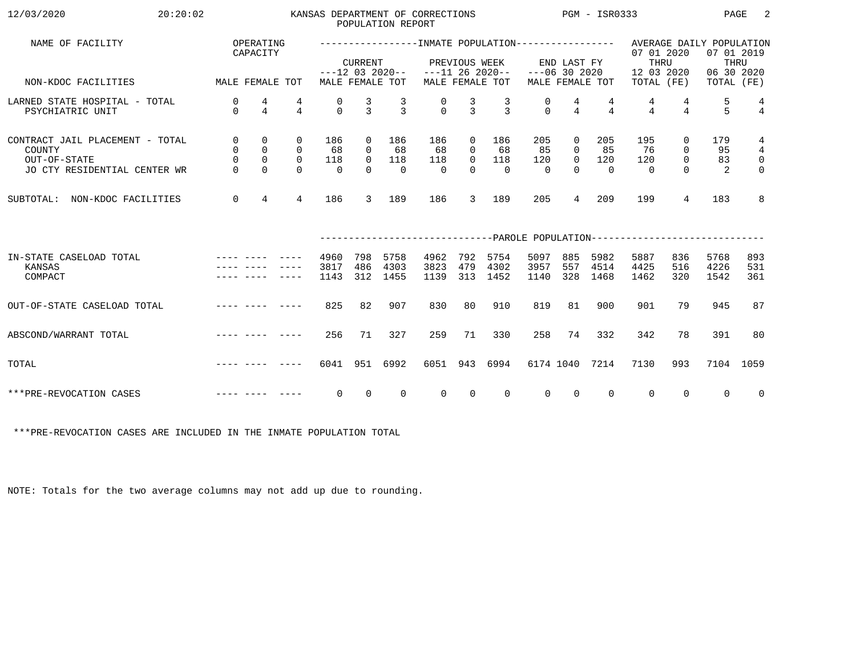| 12/03/2020<br>20:20:02                                                                                                                                                                                                                                  |                                                                                                                 |                                                           |                                                        |                              |                                         | POPULATION REPORT                    | KANSAS DEPARTMENT OF CORRECTIONS |                                                                |                            |                              |                                                       | $PGM - ISR0333$              |                                                                                                   |                                                            | PAGE                     | 2                                                                       |
|---------------------------------------------------------------------------------------------------------------------------------------------------------------------------------------------------------------------------------------------------------|-----------------------------------------------------------------------------------------------------------------|-----------------------------------------------------------|--------------------------------------------------------|------------------------------|-----------------------------------------|--------------------------------------|----------------------------------|----------------------------------------------------------------|----------------------------|------------------------------|-------------------------------------------------------|------------------------------|---------------------------------------------------------------------------------------------------|------------------------------------------------------------|--------------------------|-------------------------------------------------------------------------|
| NAME OF FACILITY                                                                                                                                                                                                                                        |                                                                                                                 | OPERATING<br>CAPACITY                                     |                                                        |                              | <b>CURRENT</b>                          |                                      |                                  | PREVIOUS WEEK                                                  |                            |                              | END LAST FY                                           |                              | -----------------INMATE POPULATION---------------- AVERAGE DAILY POPULATION<br>07 01 2020<br>THRU |                                                            | 07 01 2019               | THRU                                                                    |
| MALE FEMALE TOT<br>NON-KDOC FACILITIES                                                                                                                                                                                                                  |                                                                                                                 |                                                           |                                                        |                              |                                         | $---12$ 03 2020--<br>MALE FEMALE TOT | $---11$ 26 2020--                |                                                                | MALE FEMALE TOT            |                              | $---06$ 30 2020                                       | MALE FEMALE TOT              | 12 03 2020<br>TOTAL (FE)                                                                          |                                                            | 06 30 2020<br>TOTAL (FE) |                                                                         |
| LARNED STATE HOSPITAL - TOTAL<br>PSYCHIATRIC UNIT                                                                                                                                                                                                       | $\mathbf{0}$<br>$\Omega$                                                                                        | 4<br>$\overline{4}$                                       | 4<br>$\overline{4}$                                    | 0<br>$\Omega$                | $\frac{3}{3}$                           | $\frac{3}{3}$                        | $\begin{matrix}0\\0\end{matrix}$ | $\frac{3}{3}$                                                  | $\frac{3}{3}$              | 0<br>$\cap$                  | $\frac{4}{4}$                                         | $\overline{4}$               | $\overline{4}$                                                                                    | 4<br>$\overline{4}$                                        | 5<br>5 <sup>1</sup>      | $\frac{4}{4}$                                                           |
| CONTRACT JAIL PLACEMENT - TOTAL<br>COUNTY<br>OUT-OF-STATE<br>JO CTY RESIDENTIAL CENTER WR                                                                                                                                                               | $\overline{0}$<br>$\overline{0}$<br>$\mathsf{O}$<br>$\Omega$                                                    | $\mathsf{O}$<br>$\overline{0}$<br>$\mathbf 0$<br>$\Omega$ | $\mathbf{0}$<br>$\overline{0}$<br>$\Omega$<br>$\Omega$ | 186<br>68<br>118<br>$\Omega$ | 0<br>$\Omega$<br>$\mathsf{O}$<br>$\cap$ | 186<br>68<br>118<br>$\bigcap$        | 186<br>68<br>118<br>$\Omega$     | $\overline{0}$<br>$\overline{0}$<br>$\overline{0}$<br>$\Omega$ | 186<br>68<br>118<br>$\cap$ | 205<br>85<br>120<br>$\Omega$ | $\mathbf 0$<br>$\Omega$<br>$\overline{0}$<br>$\Omega$ | 205<br>85<br>120<br>$\Omega$ | 195<br>76<br>120<br>$\cap$                                                                        | $\mathbf{0}$<br>$\mathbf{0}$<br>$\overline{0}$<br>$\Omega$ | 179<br>95<br>83<br>2     | $\overline{4}$<br>$\overline{4}$<br>$\overline{\mathbf{0}}$<br>$\Omega$ |
| SUBTOTAL: NON-KDOC FACILITIES                                                                                                                                                                                                                           | $\overline{0}$                                                                                                  | $\overline{4}$                                            | 4                                                      | 186                          | 3                                       | 189                                  | 186                              | 3                                                              | 189                        | 205                          | 4                                                     | 209                          | 199                                                                                               | 4                                                          | 183                      | 8                                                                       |
|                                                                                                                                                                                                                                                         |                                                                                                                 |                                                           |                                                        |                              |                                         |                                      |                                  |                                                                |                            |                              |                                                       |                              | -----------------------------PAROLE POPULATION------------------------------                      |                                                            |                          |                                                                         |
| IN-STATE CASELOAD TOTAL<br>KANSAS<br>COMPACT                                                                                                                                                                                                            |                                                                                                                 |                                                           |                                                        | 4960<br>3817<br>1143         | 798<br>486<br>312                       | 5758<br>4303<br>1455                 | 4962<br>3823<br>1139             | 792<br>479<br>313                                              | 5754<br>4302<br>1452       | 5097<br>3957<br>1140         | 885<br>557<br>328                                     | 5982<br>4514<br>1468         | 5887<br>4425<br>1462                                                                              | 836<br>516<br>320                                          | 5768<br>4226<br>1542     | 893<br>531<br>361                                                       |
| OUT-OF-STATE CASELOAD TOTAL                                                                                                                                                                                                                             | and the second company and the second second the second second second second second second second second second |                                                           |                                                        | 825                          | 82                                      | 907                                  | 830                              | 80                                                             | 910                        | 819                          | 81                                                    | 900                          | 901                                                                                               | 79                                                         | 945                      | 87                                                                      |
| and the contract were accepted to the contract of the contract of the contract of the contract of the contract of the contract of the contract of the contract of the contract of the contract of the contract of the contract<br>ABSCOND/WARRANT TOTAL |                                                                                                                 |                                                           |                                                        | 256                          | 71                                      | 327                                  | 259                              | 71                                                             | 330                        | 258                          | 74                                                    | 332                          | 342                                                                                               | 78                                                         | 391                      | 80                                                                      |
| TOTAL                                                                                                                                                                                                                                                   |                                                                                                                 |                                                           |                                                        | 6041                         | 951                                     | 6992                                 | 6051                             | 943                                                            | 6994                       |                              | 6174 1040                                             | 7214                         | 7130                                                                                              | 993                                                        | 7104 1059                |                                                                         |
| and the companion of the companion of the companion of the companion of the companion of the companion of the<br>***PRE-REVOCATION CASES                                                                                                                |                                                                                                                 |                                                           |                                                        | $\Omega$                     | $\Omega$                                | $\Omega$                             | $\Omega$                         | $\Omega$                                                       | $\Omega$                   | $\Omega$                     | $\Omega$                                              | $\Omega$                     | $\Omega$                                                                                          | $\Omega$                                                   | $\Omega$                 | $\overline{0}$                                                          |

\*\*\*PRE-REVOCATION CASES ARE INCLUDED IN THE INMATE POPULATION TOTAL

NOTE: Totals for the two average columns may not add up due to rounding.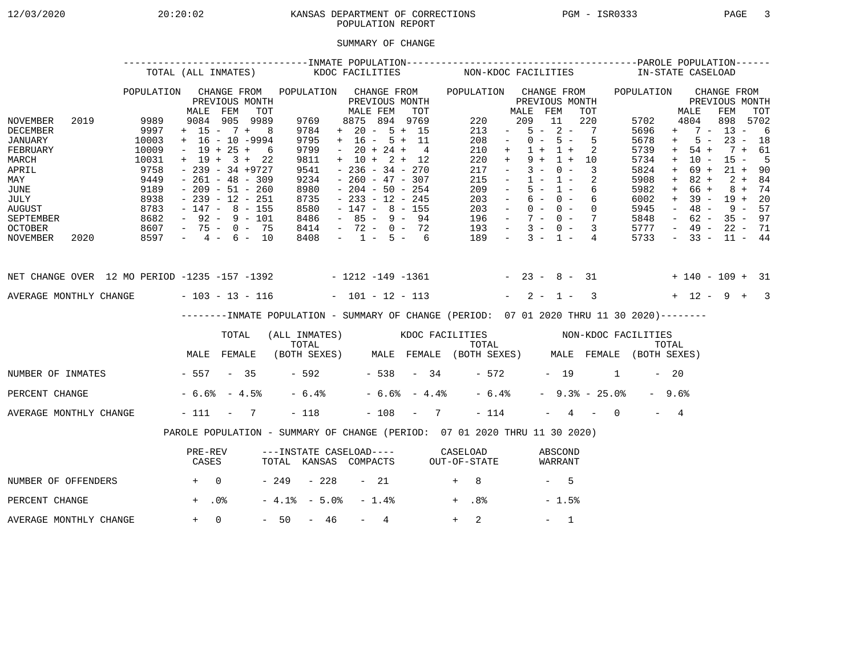### 12/03/2020 20:20:02 KANSAS DEPARTMENT OF CORRECTIONS PGM - ISR0333 PAGE 3POPULATION REPORT

## SUMMARY OF CHANGE

|                                                                                                                     |      | TOTAL (ALL INMATES)                                                             |                   |             |                                                                                                                                                                                                          |                                                                              |      | KDOC FACILITIES                                                                                                                                                                                |          | NON-KDOC FACILITIES                                                                                                                                     |                                                                                                                     |                                   |                                                                 |                                                                                                                         |                | IN-STATE CASELOAD                                                            |                                        |                                                                              |                                                  |                                                                              |                            |
|---------------------------------------------------------------------------------------------------------------------|------|---------------------------------------------------------------------------------|-------------------|-------------|----------------------------------------------------------------------------------------------------------------------------------------------------------------------------------------------------------|------------------------------------------------------------------------------|------|------------------------------------------------------------------------------------------------------------------------------------------------------------------------------------------------|----------|---------------------------------------------------------------------------------------------------------------------------------------------------------|---------------------------------------------------------------------------------------------------------------------|-----------------------------------|-----------------------------------------------------------------|-------------------------------------------------------------------------------------------------------------------------|----------------|------------------------------------------------------------------------------|----------------------------------------|------------------------------------------------------------------------------|--------------------------------------------------|------------------------------------------------------------------------------|----------------------------|
|                                                                                                                     |      | POPULATION                                                                      |                   | CHANGE FROM | PREVIOUS MONTH                                                                                                                                                                                           | POPULATION                                                                   |      | CHANGE FROM<br>PREVIOUS MONTH<br>MALE FEM                                                                                                                                                      |          | POPULATION CHANGE FROM                                                                                                                                  |                                                                                                                     |                                   |                                                                 | PREVIOUS MONTH                                                                                                          |                | POPULATION                                                                   |                                        |                                                                              | CHANGE FROM<br>PREVIOUS MONTH                    |                                                                              |                            |
| NOVEMBER<br><b>DECEMBER</b><br>JANUARY<br>FEBRUARY<br>MARCH<br>APRIL<br>MAY<br><b>JUNE</b><br>JULY<br><b>AUGUST</b> | 2019 | 9989<br>9997<br>10003<br>10009<br>10031<br>9758<br>9449<br>9189<br>8938<br>8783 | MALE              | FEM         | TOT<br>9084 905 9989<br>$+ 15 - 7 + 8$<br>$+$ 16 - 10 -9994<br>$- 19 + 25 + 6$<br>$+ 19 + 3 + 22$<br>$-239 - 34 + 9727$<br>$-261 - 48 - 309$<br>$-209 - 51 - 260$<br>- 239 - 12 - 251<br>- 147 - 8 - 155 | 9769<br>9784<br>9795<br>9799<br>9811<br>9541<br>9234<br>8980<br>8735<br>8580 |      | 8875 894 9769<br>$+ 20 - 5 + 15$<br>$+ 16 - 5 + 11$<br>$-20 + 24 +$<br>$+ 10 + 2 + 12$<br>$-236 - 34 - 270$<br>$-260 - 47 - 307$<br>$-204 - 50 - 254$<br>$-233 - 12 - 245$<br>$-147 - 8 - 155$ | TOT<br>4 | 220<br>213<br>208<br>210<br>220<br>217<br>215<br>209<br>203<br>203                                                                                      | <b>Contract Contract</b><br>$\sim$<br>$+$<br>$+$<br>$\sim$ $ -$<br>$\sim$ $  \sim$<br>$\sim$ $-$<br>$\sim$ $  \sim$ | MALE FEM<br>209<br>$9 +$<br>$3 -$ | 11<br>$1 + 1 +$<br>$0 -$<br>$1 - 1 -$<br>$5 - 1 -$<br>$6 - 0 -$ | TOT<br>220<br>$5 - 2 - 7$<br>$0 - 5 - 5$<br>-2<br>$1 + 10$<br>$\overline{\phantom{a}}$<br>-2<br>- 6<br>6<br>$0 - 0 - 0$ |                | 5702<br>5696<br>5678<br>5739<br>5734<br>5824<br>5908<br>5982<br>6002<br>5945 | $+$<br>$+$<br>$+$<br>$+$<br>$+$<br>$+$ | MALE<br>4804<br>$5 -$<br>54 +<br>$10 -$<br>69 +<br>$82 +$<br>66 +<br>$-48 -$ | FEM<br>898<br>$+ 7 - 13 - 6$<br>$+ 39 - 19 + 20$ | $23 - 18$<br>7 + 61<br>$15 -$<br>$21 + 90$<br>$2 + 84$<br>$8 + 74$<br>9 - 57 | TOT<br>5702<br>$5^{\circ}$ |
| <b>SEPTEMBER</b><br><b>OCTOBER</b><br>NOVEMBER                                                                      | 2020 | 8682<br>8607<br>$8597 - 4 - 6 - 10$                                             |                   |             | - 92 - 9 - 101<br>- 75 - 0 - 75                                                                                                                                                                          | 8486<br>8414                                                                 | 8408 | $-85 - 9 - 94$<br>- 72 - 0 - 72<br>$-1 - 5 - 6$                                                                                                                                                |          | $196 - 7 - 0 - 7$<br>$193 - 3 - 0 - 3$<br>$189 - 3 - 1 - 4$                                                                                             |                                                                                                                     |                                   |                                                                 |                                                                                                                         |                | 5848<br>5777<br>5733                                                         |                                        | $-62 -$                                                                      | - 49 - 22 - 71<br>$-33 - 11 - 44$                | $35 - 97$                                                                    |                            |
|                                                                                                                     |      |                                                                                 |                   |             |                                                                                                                                                                                                          |                                                                              |      |                                                                                                                                                                                                |          |                                                                                                                                                         |                                                                                                                     |                                   |                                                                 |                                                                                                                         |                |                                                                              |                                        |                                                                              |                                                  |                                                                              |                            |
| AVERAGE MONTHLY CHANGE - 103 - 13 - 116                                                                             |      |                                                                                 |                   |             |                                                                                                                                                                                                          |                                                                              |      | $-101 - 12 - 113$                                                                                                                                                                              |          |                                                                                                                                                         |                                                                                                                     |                                   |                                                                 | $-2-1-3$                                                                                                                |                | $+ 12 - 9 + 3$                                                               |                                        |                                                                              |                                                  |                                                                              |                            |
|                                                                                                                     |      |                                                                                 |                   | TOTAL       |                                                                                                                                                                                                          | TOTAL                                                                        |      |                                                                                                                                                                                                |          | -------INMATE POPULATION - SUMMARY OF CHANGE (PERIOD: 07 01 2020 THRU 11 30 2020)--------<br>(ALL INMATES) KDOC FACILITIES NON-KDOC FACILITIES<br>TOTAL |                                                                                                                     |                                   |                                                                 |                                                                                                                         |                |                                                                              | TOTAL                                  |                                                                              |                                                  |                                                                              |                            |
|                                                                                                                     |      |                                                                                 | MALE FEMALE       |             |                                                                                                                                                                                                          |                                                                              |      |                                                                                                                                                                                                |          | (BOTH SEXES) MALE FEMALE (BOTH SEXES) MALE FEMALE (BOTH SEXES)                                                                                          |                                                                                                                     |                                   |                                                                 |                                                                                                                         |                |                                                                              |                                        |                                                                              |                                                  |                                                                              |                            |
| NUMBER OF INMATES                                                                                                   |      | $-557 - 35$                                                                     |                   |             |                                                                                                                                                                                                          |                                                                              |      | $-592$ $-538$ $-34$                                                                                                                                                                            |          |                                                                                                                                                         |                                                                                                                     |                                   |                                                                 | - 572 - 19                                                                                                              | 1              |                                                                              | $-20$                                  |                                                                              |                                                  |                                                                              |                            |
| PERCENT CHANGE                                                                                                      |      |                                                                                 | $-6.6$ $-4.5$ $-$ |             |                                                                                                                                                                                                          | $-6.4%$                                                                      |      | $-6.6% - 4.4%$                                                                                                                                                                                 |          | $-6.4%$                                                                                                                                                 |                                                                                                                     |                                   |                                                                 |                                                                                                                         | $-9.3$ $-25.0$ |                                                                              | $-9.6%$                                |                                                                              |                                                  |                                                                              |                            |
| AVERAGE MONTHLY CHANGE                                                                                              |      |                                                                                 | $-111 - 7$        |             |                                                                                                                                                                                                          | $-118$                                                                       |      | $-108 - 7$                                                                                                                                                                                     |          | $-114$                                                                                                                                                  |                                                                                                                     |                                   |                                                                 | $-4$ $-$ 0                                                                                                              |                |                                                                              | $-4$                                   |                                                                              |                                                  |                                                                              |                            |
|                                                                                                                     |      |                                                                                 |                   |             |                                                                                                                                                                                                          |                                                                              |      |                                                                                                                                                                                                |          | PAROLE POPULATION - SUMMARY OF CHANGE (PERIOD: 07 01 2020 THRU 11 30 2020)                                                                              |                                                                                                                     |                                   |                                                                 |                                                                                                                         |                |                                                                              |                                        |                                                                              |                                                  |                                                                              |                            |
|                                                                                                                     |      |                                                                                 | PRE-REV<br>CASES  |             |                                                                                                                                                                                                          |                                                                              |      |                                                                                                                                                                                                |          | ---INSTATE CASELOAD---- CASELOAD<br>TOTAL KANSAS COMPACTS OUT-OF-STATE                                                                                  |                                                                                                                     |                                   | ABSCOND<br>WARRANT                                              |                                                                                                                         |                |                                                                              |                                        |                                                                              |                                                  |                                                                              |                            |
| NUMBER OF OFFENDERS                                                                                                 |      | $+$ 0                                                                           |                   |             |                                                                                                                                                                                                          | - 249 - 228                                                                  |      | - 21                                                                                                                                                                                           |          | $+$ 8                                                                                                                                                   |                                                                                                                     |                                   | $-5$                                                            |                                                                                                                         |                |                                                                              |                                        |                                                                              |                                                  |                                                                              |                            |
| PERCENT CHANGE                                                                                                      |      |                                                                                 | $+$ .0%           |             |                                                                                                                                                                                                          | $-4.1$ % $-5.0$ % $-1.4$ %                                                   |      |                                                                                                                                                                                                |          | $+$ .8%                                                                                                                                                 |                                                                                                                     |                                   | $-1.5%$                                                         |                                                                                                                         |                |                                                                              |                                        |                                                                              |                                                  |                                                                              |                            |

AVERAGE MONTHLY CHANGE  $+ 0 - 50 - 46 - 4$   $+ 2$   $- 1$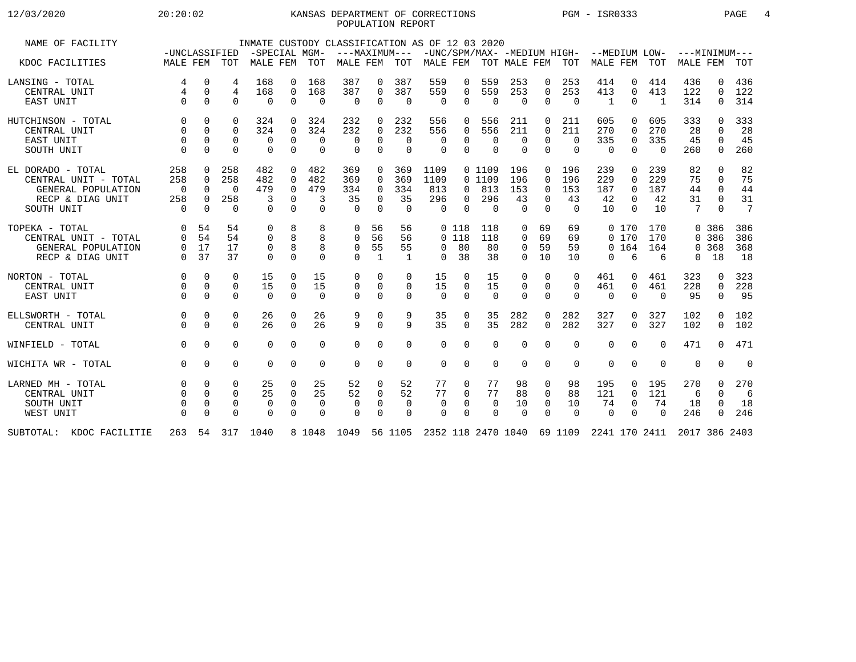# 12/03/2020 20:20:02 KANSAS DEPARTMENT OF CORRECTIONS PGM - ISR0333 PAGE 4POPULATION REPORT

| NAME OF FACILITY         |              |             |             |             |             |             | INMATE CUSTODY CLASSIFICATION AS OF 12 03 2020                                                    |              |              |             |             |                |          |             |                  |              |                 |                |                 |              |                 |
|--------------------------|--------------|-------------|-------------|-------------|-------------|-------------|---------------------------------------------------------------------------------------------------|--------------|--------------|-------------|-------------|----------------|----------|-------------|------------------|--------------|-----------------|----------------|-----------------|--------------|-----------------|
|                          |              |             |             |             |             |             | -UNCLASSIFIED -SPECIAL MGM- ---MAXIMUM--- -UNC/SPM/MAX- -MEDIUM HIGH- --MEDIUM LOW- ---MINIMUM--- |              |              |             |             |                |          |             |                  |              |                 |                |                 |              |                 |
| KDOC FACILITIES          | MALE FEM TOT |             |             | MALE FEM    |             | TOT         | MALE FEM TOT                                                                                      |              |              | MALE FEM    |             |                |          |             | TOT MALE FEM TOT | MALE FEM     |                 | TOT            | <b>MALE FEM</b> |              | TOT             |
| LANSING - TOTAL          | 4            | $\mathbf 0$ | 4           | 168         | $\Omega$    | 168         | 387                                                                                               | 0            | 387          | 559         | 0           | 559            | 253      | $\Omega$    | 253              | 414          | $\Omega$        | 414            | 436             | <sup>n</sup> | 436             |
| CENTRAL UNIT             | 4            | $\Omega$    | 4           | 168         | $\Omega$    | 168         | 387                                                                                               | $\Omega$     | 387          | 559         | $\Omega$    | 559            | 253      | $\Omega$    | 253              | 413          | $\Omega$        | 413            | 122             | $\Omega$     | 122             |
| EAST UNIT                | $\Omega$     | $\Omega$    | $\Omega$    | $\Omega$    | $\Omega$    | $\Omega$    | $\bigcirc$                                                                                        | $\mathbf 0$  | $\Omega$     | $\Omega$    | $\Omega$    | $\Omega$       | $\Omega$ | $\Omega$    | $\Omega$         | $\mathbf{1}$ | $\Omega$        | $\overline{1}$ | 314             | $\Omega$     | 314             |
| HUTCHINSON - TOTAL       | $\mathbf 0$  | $\Omega$    | $\Omega$    | 324         | $\Omega$    | 324         | 232                                                                                               | 0            | 232          | 556         | 0           | 556            | 211      | $\Omega$    | 211              | 605          | $\Omega$        | 605            | 333             | $\Omega$     | 333             |
| CENTRAL UNIT             |              | $\Omega$    | $\Omega$    | 324         | $\Omega$    | 324         | 232                                                                                               | $\Omega$     | 232          | 556         | $\Omega$    | 556            | 211      | $\Omega$    | 211              | 270          | $\Omega$        | 270            | 28              | 0            | 28              |
| EAST UNIT                | $\Omega$     | $\Omega$    | 0           | $\mathbf 0$ | $\Omega$    | $\Omega$    | $\Omega$                                                                                          | $\Omega$     | $\Omega$     | $\Omega$    | $\Omega$    | $\mathbf 0$    | $\Omega$ | $\Omega$    | $\Omega$         | 335          | $\Omega$        | 335            | 45              | $\Omega$     | 45              |
| SOUTH UNIT               | $\Omega$     | $\Omega$    | $\cap$      | $\Omega$    | $\Omega$    | $\Omega$    | $\cap$                                                                                            | $\Omega$     | $\Omega$     | $\Omega$    | $\Omega$    | $\Omega$       | $\Omega$ | $\Omega$    | $\Omega$         | $\Omega$     | $\Omega$        | $\cap$         | 260             | $\Omega$     | 260             |
| EL DORADO - TOTAL        | 258          | $\Omega$    | 258         | 482         | $\Omega$    | 482         | 369                                                                                               | 0            | 369          | 1109        |             | 0 1109         | 196      | $\Omega$    | 196              | 239          | $\Omega$        | 239            | 82              | $\Omega$     | 82              |
| CENTRAL UNIT - TOTAL     | 258          | $\Omega$    | 258         | 482         | $\Omega$    | 482         | 369                                                                                               | $\Omega$     | 369          | 1109        |             | 0 1109         | 196      | $\Omega$    | 196              | 229          | $\Omega$        | 229            | 75              | $\Omega$     | 75              |
| GENERAL POPULATION       | $\Omega$     | $\Omega$    | $\Omega$    | 479         | 0           | 479         | 334                                                                                               | $\Omega$     | 334          | 813         | $\Omega$    | 813            | 153      | $\Omega$    | 153              | 187          | $\Omega$        | 187            | 44              | $\Omega$     | 44              |
| RECP & DIAG UNIT         | 258          | $\Omega$    | 258         | 3           | $\Omega$    | 3           | 35                                                                                                | $\Omega$     | 35           | 296         | $\Omega$    | 296            | 43       | $\Omega$    | 43               | 42           | $\Omega$        | 42             | 31              | $\Omega$     | 31              |
| SOUTH UNIT               | $\Omega$     | $\Omega$    | $\Omega$    | $\Omega$    | $\Omega$    | $\Omega$    | $\Omega$                                                                                          | $\Omega$     | $\Omega$     | $\Omega$    | $\Omega$    | $\overline{0}$ | $\Omega$ | $\Omega$    | $\Omega$         | 10           | $\Omega$        | 10             | 7               | $\Omega$     | $7\overline{ }$ |
| TOPEKA - TOTAL           | $\Omega$     | 54          | 54          | $\Omega$    | 8           | 8           | $\Omega$                                                                                          | 56           | 56           |             | 0 118       | 118            | $\Omega$ | 69          | 69               |              | 0 170           | 170            |                 | 0 386        | 386             |
| CENTRAL UNIT - TOTAL     | $\Omega$     | 54          | 54          | 0           | 8           | 8           | $\Omega$                                                                                          | 56           | 56           |             | $0$ 118     | 118            | 0        | 69          | 69               |              | 0 170           | 170            |                 | 0 386        | 386             |
| GENERAL POPULATION       | $\Omega$     | 17          | 17          | $\Omega$    | 8           |             | $\Omega$                                                                                          | 55           | 55           | $\Omega$    | 80          | 80             | $\Omega$ | 59          | 59               |              | 0, 164          | 164            |                 | 0 368        | 368             |
| RECP & DIAG UNIT         | $\Omega$     | 37          | 37          | $\Omega$    | $\Omega$    | $\cap$      | $\cap$                                                                                            | $\mathbf{1}$ | $\mathbf{1}$ | $\Omega$    | 38          | 38             | $\Omega$ | 10          | 1 O              | $\Omega$     | $6\overline{6}$ | 6              | $\Omega$        | 18           | 18              |
| NORTON - TOTAL           | $\mathbf 0$  | $\mathbf 0$ | 0           | 15          | 0           | 15          | 0                                                                                                 | 0            | 0            | 15          | 0           | 15             | 0        | 0           | 0                | 461          | 0               | 461            | 323             | $\Omega$     | 323             |
| CENTRAL UNIT             | $\mathbf 0$  | $\Omega$    | $\mathbf 0$ | 15          | $\mathbf 0$ | 15          | 0                                                                                                 | $\Omega$     | 0            | 15          | $\mathbf 0$ | 15             | 0        | $\mathbf 0$ | $\mathbf 0$      | 461          | $\mathbf 0$     | 461            | 228             | 0            | 228             |
| EAST UNIT                |              | $\Omega$    | $\Omega$    | $\Omega$    | $\Omega$    | $\Omega$    | $\Omega$                                                                                          | $\Omega$     | $\Omega$     | $\Omega$    | $\Omega$    | $\Omega$       | $\Omega$ | $\Omega$    | $\Omega$         | $\Omega$     | $\Omega$        | $\Omega$       | 95              | $\Omega$     | 95              |
| ELLSWORTH - TOTAL        | $\Omega$     | $\Omega$    | 0           | 26          | $\Omega$    | 26          | 9                                                                                                 | $\Omega$     | 9            | 35          | 0           | 35             | 282      | $\Omega$    | 282              | 327          | $\Omega$        | 327            | 102             | <sup>n</sup> | 102             |
| CENTRAL UNIT             | $\Omega$     | $\Omega$    | $\Omega$    | 26          | $\Omega$    | 26          | 9                                                                                                 | $\Omega$     | 9            | 35          | $\Omega$    | 35             | 282      | $\Omega$    | 282              | 327          | $\Omega$        | 327            | 102             | $\mathbf 0$  | 102             |
| WINFIELD - TOTAL         | $\Omega$     | $\Omega$    | 0           | $\Omega$    | $\Omega$    | $\Omega$    | $\Omega$                                                                                          | $\Omega$     | 0            | $\Omega$    | $\Omega$    | $\Omega$       | $\Omega$ | $\Omega$    | $\Omega$         | $\Omega$     | $\Omega$        | $\Omega$       | 471             | 0            | 471             |
| WICHITA WR - TOTAL       | $\Omega$     | $\Omega$    | 0           | $\Omega$    | $\Omega$    | $\Omega$    | $\Omega$                                                                                          | $\mathbf 0$  | $\mathbf 0$  | $\Omega$    | $\Omega$    | $\Omega$       | $\Omega$ | $\Omega$    | $\Omega$         | $\mathbf 0$  | $\mathbf 0$     | $\Omega$       | $\Omega$        | $\Omega$     | $\overline{0}$  |
| LARNED MH - TOTAL        | $\mathbf 0$  | $\Omega$    | 0           | 25          | $\mathbf 0$ | 25          | 52                                                                                                | 0            | 52           | 77          | 0           | 77             | 98       | 0           | 98               | 195          | 0               | 195            | 270             | $\Omega$     | 270             |
| CENTRAL UNIT             | $\Omega$     | $\Omega$    | $\Omega$    | 25          | $\mathbf 0$ | 25          | 52                                                                                                | 0            | 52           | 77          | 0           | 77             | 88       | $\mathbf 0$ | 88               | 121          | $\mathbf 0$     | 121            | 6               | $\Omega$     | 6               |
| SOUTH UNIT               | $\mathbf 0$  | $\Omega$    | 0           | $\mathbf 0$ | $\mathbf 0$ | $\mathbf 0$ | $\mathbf 0$                                                                                       | 0            | $\mathbf 0$  | $\mathbf 0$ | 0           | $\mathbf 0$    | 10       | $\mathbf 0$ | 10               | 74           | $\mathbf 0$     | 74             | 18              | $\Omega$     | 18              |
| WEST UNIT                |              | $\Omega$    | 0           | $\Omega$    | $\Omega$    | $\Omega$    | $\Omega$                                                                                          | $\Omega$     | $\Omega$     | $\Omega$    | $\Omega$    | $\Omega$       | $\Omega$ | $\Omega$    | $\Omega$         | $\Omega$     | $\Omega$        | $\Omega$       | 246             | $\Omega$     | 246             |
| SUBTOTAL: KDOC FACILITIE | 263          |             |             | 54 317 1040 |             |             | 8 1048 1049 56 1105 2352 118 2470 1040 69 1109 2241 170 2411                                      |              |              |             |             |                |          |             |                  |              |                 |                | 2017 386 2403   |              |                 |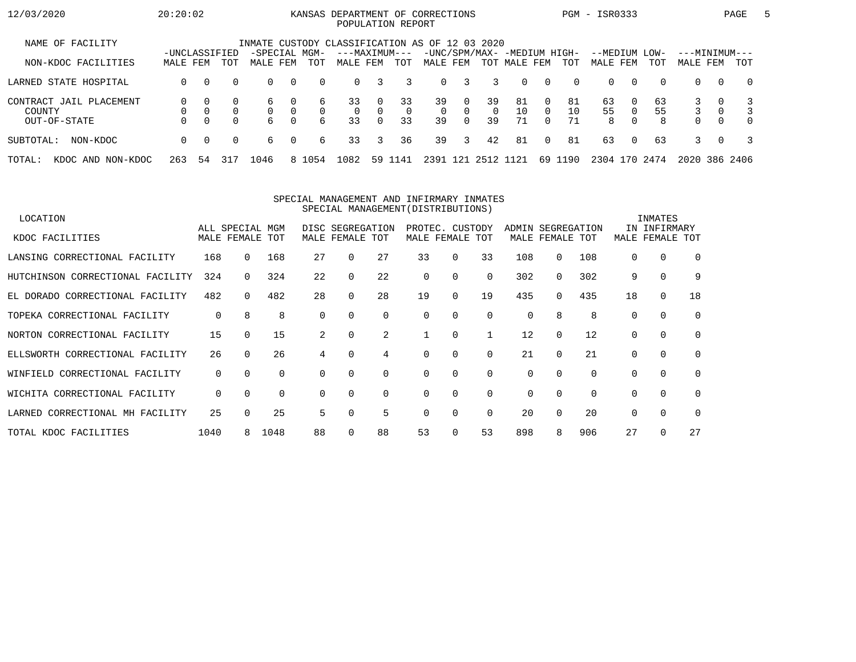#### 12/03/2020 20:20:02 KANSAS DEPARTMENT OF CORRECTIONS PGM - ISR0333 PAGE 5POPULATION REPORT

| NAME OF FACILITY                  |               |          |              | INMATE CUSTODY CLASSIFICATION AS OF 12 03 2020 |                      |          |                |                      |                |              |                          |                |                             |          |           |               |               |          |               |          |                         |
|-----------------------------------|---------------|----------|--------------|------------------------------------------------|----------------------|----------|----------------|----------------------|----------------|--------------|--------------------------|----------------|-----------------------------|----------|-----------|---------------|---------------|----------|---------------|----------|-------------------------|
|                                   | -UNCLASSIFIED |          |              | -SPECIAL MGM-                                  |                      |          | ---MAXIMUM---  |                      |                |              |                          |                | -UNC/SPM/MAX- -MEDIUM HIGH- |          |           | --MEDIUM LOW- |               |          | ---MINIMUM--- |          |                         |
| NON-KDOC FACILITIES               | MALE FEM      |          | TOT          | MALE                                           | FEM                  | TOT      | MALE FEM       |                      | TOT            | MALE FEM     |                          | TOT            | MALE FEM                    |          | TOT       | MALE FEM      |               | TOT      | MALE FEM      |          | TOT                     |
| LARNED STATE HOSPITAL             | $\Omega$      | $\Omega$ |              | $\Omega$                                       | $\Omega$             | $\Omega$ | $\overline{0}$ |                      | 3              | $\Omega$     | 3                        | 3              | $\Omega$                    | $\Omega$ | $\Omega$  | $\Omega$      | 0             | $\Omega$ | $\Omega$      | $\Omega$ | $\Omega$                |
| CONTRACT JAIL PLACEMENT<br>COUNTY |               | $\Omega$ |              | h.                                             | $\Omega$<br>$\Omega$ | 6<br>0   | 33<br>$\Omega$ | $\Omega$<br>$\Omega$ | 33<br>$\Omega$ | 39<br>$\cap$ | $\Omega$<br><sup>n</sup> | 39<br>$\Omega$ | 81<br>10                    | 0        | -81<br>10 | 63<br>55      | 0<br>$\Omega$ | 63<br>55 |               | $\Omega$ | 3<br>3                  |
| OUT-OF-STATE                      | O.            | $\Omega$ | <sup>n</sup> | б.                                             | $\Omega$             | 6        | 33             | $\Omega$             | 33             | 39           | $\Omega$                 | 39             | 71                          | $\Omega$ | 71        | 8             | $\Omega$      | 8        | $\Omega$      | $\Omega$ | $\Omega$                |
| NON-KDOC<br>SUBTOTAL:             | $\Omega$      | $\Omega$ | $\Omega$     | 6                                              | $\Omega$             | 6        | 33             | 3                    | 36             | 39           | 3                        | 42             | 81                          | $\Omega$ | 81        | 63            | $\Omega$      | 63       | $\mathcal{R}$ | $\Omega$ | $\overline{\mathbf{3}}$ |
| AND<br>NON-KDOC<br>TOTAL:<br>KDOC | 263           | 54       | 317          | 1046                                           |                      | 8 1054   | 1082           |                      | 59 1141        | 2391         | 121                      | 2512           | 1121                        | 69       | 190       | 2304 170      |               | 2474     | 2020          |          | 386 2406                |

#### SPECIAL MANAGEMENT AND INFIRMARY INMATESSPECIAL MANAGEMENT(DISTRIBUTIONS)

| LOCATION                         |          |                                    |          |    |                                     |          |          |                                    |          |     |                                      |          |            | INMATES                 |             |
|----------------------------------|----------|------------------------------------|----------|----|-------------------------------------|----------|----------|------------------------------------|----------|-----|--------------------------------------|----------|------------|-------------------------|-------------|
| KDOC FACILITIES                  |          | ALL SPECIAL MGM<br>MALE FEMALE TOT |          |    | DISC SEGREGATION<br>MALE FEMALE TOT |          |          | PROTEC. CUSTODY<br>MALE FEMALE TOT |          |     | ADMIN SEGREGATION<br>MALE FEMALE TOT |          | IN<br>MALE | INFIRMARY<br>FEMALE TOT |             |
| LANSING CORRECTIONAL FACILITY    | 168      | 0                                  | 168      | 27 |                                     | 27       | 33       | 0                                  | 33       | 108 | $\Omega$                             | 108      | 0          | 0                       | $\Omega$    |
| HUTCHINSON CORRECTIONAL FACILITY | 324      | $\Omega$                           | 324      | 22 |                                     | 22       | 0        | $\Omega$                           | $\Omega$ | 302 | $\Omega$                             | 302      | 9          | $\Omega$                | 9           |
| EL DORADO CORRECTIONAL FACILITY  | 482      | 0                                  | 482      | 28 |                                     | 28       | 19       | $\mathbf 0$                        | 19       | 435 | $\Omega$                             | 435      | 18         | $\Omega$                | 18          |
| TOPEKA CORRECTIONAL FACILITY     | 0        | 8                                  | 8        | 0  | 0                                   | $\Omega$ | 0        | 0                                  | 0        | 0   | 8                                    | 8        | 0          | 0                       | $\mathbf 0$ |
| NORTON CORRECTIONAL FACILITY     | 15       |                                    | 15       | 2  | $\Omega$                            | 2        |          | $\Omega$                           |          | 12  | $\Omega$                             | 12       | $\Omega$   | $\Omega$                | $\Omega$    |
| ELLSWORTH CORRECTIONAL FACILITY  | 26       | $\Omega$                           | 26       | 4  |                                     |          | 0        | $\mathbf 0$                        | $\Omega$ | 21  | $\Omega$                             | 21       | $\Omega$   |                         | $\Omega$    |
| WINFIELD CORRECTIONAL FACILITY   | $\Omega$ | 0                                  | 0        | 0  | $\Omega$                            | $\Omega$ | 0        | 0                                  | 0        | 0   | 0                                    | $\Omega$ | 0          | 0                       | 0           |
| WICHITA CORRECTIONAL FACILITY    | $\Omega$ | $\Omega$                           | $\Omega$ | 0  | $\Omega$                            | $\Omega$ | $\Omega$ | $\Omega$                           | 0        | 0   | $\Omega$                             | $\Omega$ | $\Omega$   | $\Omega$                | $\Omega$    |
| LARNED CORRECTIONAL MH FACILITY  | 25       |                                    | 25       | 5  | 0                                   | 5        | $\Omega$ | 0                                  | $\Omega$ | 20  | $\Omega$                             | 20       | $\Omega$   | $\Omega$                | $\Omega$    |
| TOTAL KDOC FACILITIES            | 1040     | 8                                  | 1048     | 88 |                                     | 88       | 53       | 0                                  | 53       | 898 | 8                                    | 906      | 27         |                         | 27          |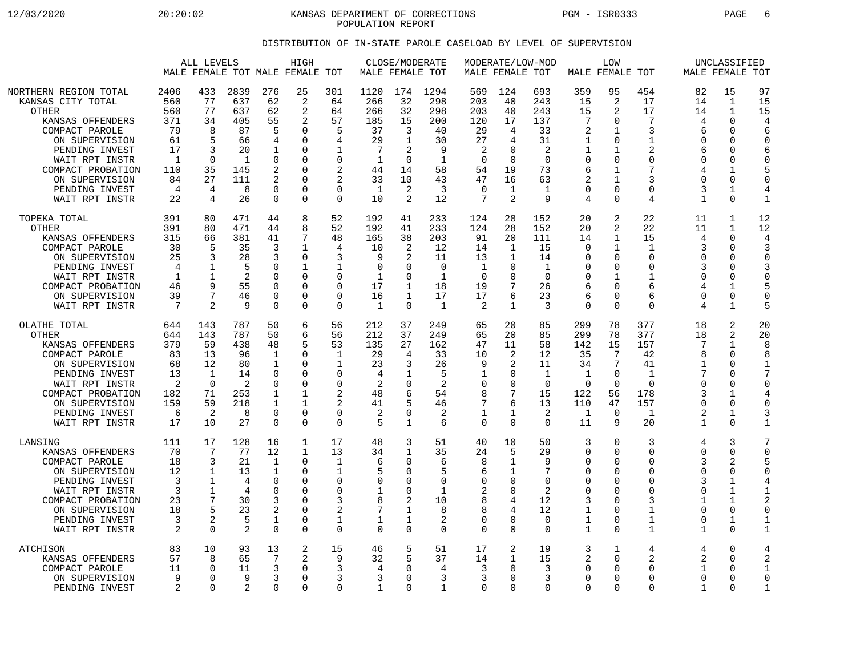12/03/2020 20:20:02 KANSAS DEPARTMENT OF CORRECTIONS PGM - ISR0333 PAGE 6 POPULATION REPORT

## DISTRIBUTION OF IN-STATE PAROLE CASELOAD BY LEVEL OF SUPERVISION

|                                                                                                                                                                                                                            |                                                                                     | ALL LEVELS                                                                          |                                                                                |                                                                                             | HIGH<br>MALE FEMALE TOT MALE FEMALE TOT                                                           |                                                                                                     | MALE FEMALE TOT                                                                         | CLOSE/MODERATE                                                                    |                                                                         |                                                                                       | MALE FEMALE TOT                                                                                  | MODERATE/LOW-MOD                                                            |                                                                                          | LOW<br>MALE FEMALE TOT                                                                                    |                                                                                              |                                                                                              | UNCLASSIFIED<br>MALE FEMALE TOT                                                                                 |                                                                                                   |
|----------------------------------------------------------------------------------------------------------------------------------------------------------------------------------------------------------------------------|-------------------------------------------------------------------------------------|-------------------------------------------------------------------------------------|--------------------------------------------------------------------------------|---------------------------------------------------------------------------------------------|---------------------------------------------------------------------------------------------------|-----------------------------------------------------------------------------------------------------|-----------------------------------------------------------------------------------------|-----------------------------------------------------------------------------------|-------------------------------------------------------------------------|---------------------------------------------------------------------------------------|--------------------------------------------------------------------------------------------------|-----------------------------------------------------------------------------|------------------------------------------------------------------------------------------|-----------------------------------------------------------------------------------------------------------|----------------------------------------------------------------------------------------------|----------------------------------------------------------------------------------------------|-----------------------------------------------------------------------------------------------------------------|---------------------------------------------------------------------------------------------------|
| NORTHERN REGION TOTAL<br>KANSAS CITY TOTAL<br>OTHER<br>KANSAS OFFENDERS<br>COMPACT PAROLE<br>ON SUPERVISION<br>PENDING INVEST<br>WAIT RPT INSTR<br>COMPACT PROBATION<br>ON SUPERVISION<br>PENDING INVEST<br>WAIT RPT INSTR | 2406<br>560<br>560<br>371<br>79<br>61<br>17<br>$\mathbf{1}$<br>110<br>84<br>4<br>22 | 433<br>77<br>77<br>34<br>8<br>5<br>3<br>$\Omega$<br>35<br>27<br>$\overline{4}$<br>4 | 2839<br>637<br>637<br>405<br>87<br>66<br>20<br>1<br>145<br>111<br>8<br>26      | 276<br>62<br>62<br>55<br>5<br>4<br>1<br>$\mathbf 0$<br>2<br>2<br>$\mathbf 0$<br>$\mathbf 0$ | 25<br>2<br>2<br>2<br>O<br>$\Omega$<br>0<br>$\Omega$<br>0<br>0<br>$\Omega$<br>$\Omega$             | 301<br>64<br>64<br>57<br>5<br>4<br>1<br>$\Omega$<br>$\overline{2}$<br>2<br>$\mathbf 0$<br>$\Omega$  | 1120<br>266<br>266<br>185<br>37<br>29<br>7<br>1<br>44<br>33<br>1<br>10                  | 174<br>32<br>32<br>15<br>3<br>$\mathbf{1}$<br>2<br>$\Omega$<br>14<br>10<br>2<br>2 | 1294<br>298<br>298<br>200<br>40<br>30<br>9<br>-1<br>58<br>43<br>3<br>12 | 569<br>203<br>203<br>120<br>29<br>27<br>2<br>$\Omega$<br>54<br>47<br>$\mathbf 0$<br>7 | 124<br>40<br>40<br>17<br>4<br>4<br>$\Omega$<br>$\Omega$<br>19<br>16<br>1<br>$\overline{2}$       | 693<br>243<br>243<br>137<br>33<br>31<br>2<br>$\Omega$<br>73<br>63<br>1<br>9 | 359<br>15<br>15<br>7<br>2<br>1<br>1<br>$\Omega$<br>6<br>2<br>$\mathbf 0$<br>4            | 95<br>2<br>2<br>$\mathbf 0$<br>1<br>$\Omega$<br>1<br>$\Omega$<br>$\mathbf{1}$<br>1<br>0<br>$\Omega$       | 454<br>17<br>17<br>7<br>3<br>1<br>$\overline{2}$<br>$\Omega$<br>7<br>3<br>$\Omega$<br>4      | 82<br>14<br>14<br>4<br>6<br>$\Omega$<br>6<br>$\Omega$<br>4<br>0<br>3<br>$\mathbf 1$          | 15<br>$\mathbf{1}$<br>$\mathbf{1}$<br>$\Omega$<br>O<br>$\Omega$<br>O<br>O<br>$\mathbf{1}$<br>0<br>1<br>$\Omega$ | 97<br>15<br>15<br>$\overline{4}$<br>6<br>$\Omega$<br>6<br>$\Omega$<br>5<br>0<br>4<br>$\mathbf{1}$ |
| TOPEKA TOTAL<br>OTHER<br>KANSAS OFFENDERS<br>COMPACT PAROLE<br>ON SUPERVISION<br>PENDING INVEST<br>WAIT RPT INSTR<br>COMPACT PROBATION<br>ON SUPERVISION<br>WAIT RPT INSTR                                                 | 391<br>391<br>315<br>30<br>25<br>4<br>1<br>46<br>39<br>7                            | 80<br>80<br>66<br>5<br>3<br>1<br>9<br>7<br>$\mathcal{D}$                            | 471<br>471<br>381<br>35<br>28<br>5<br>2<br>55<br>46<br>9                       | 44<br>44<br>41<br>3<br>3<br>0<br>0<br>0<br>0<br>0                                           | 8<br>8<br>7<br>1<br>$\Omega$<br>$\mathbf{1}$<br>$\Omega$<br>0<br>$\Omega$<br>$\Omega$             | 52<br>52<br>48<br>4<br>3<br>$\mathbf{1}$<br>$\Omega$<br>$\mathbf 0$<br>$\Omega$<br>$\Omega$         | 192<br>192<br>165<br>10<br>9<br>$\mathbf 0$<br>1<br>17<br>16<br>$\mathbf{1}$            | 41<br>41<br>38<br>2<br>2<br>0<br>O<br>1<br>1<br>$\Omega$                          | 233<br>233<br>203<br>12<br>11<br>$\mathbf 0$<br>-1<br>18<br>17<br>1     | 124<br>124<br>91<br>14<br>13<br>1<br>$\Omega$<br>19<br>17<br>2                        | 28<br>28<br>20<br>1<br>$\mathbf{1}$<br>$\mathbf 0$<br>$\Omega$<br>7<br>6<br>$\mathbf{1}$         | 152<br>152<br>111<br>15<br>14<br>$\mathbf 1$<br>$\Omega$<br>26<br>23<br>3   | 20<br>20<br>14<br>$\Omega$<br>$\Omega$<br>0<br>$\Omega$<br>6<br>6<br>$\Omega$            | 2<br>2<br>$\mathbf{1}$<br>1<br>$\Omega$<br>$\mathbf 0$<br>1<br>$\Omega$<br>0<br>$\Omega$                  | 22<br>22<br>15<br>1<br>$\Omega$<br>$\Omega$<br>1<br>6<br>6<br>$\Omega$                       | 11<br>11<br>4<br>3<br>$\Omega$<br>3<br>$\Omega$<br>4<br>$\Omega$<br>4                        | 1<br>1<br>0<br>$\Omega$<br>O<br>0<br>0<br>$\mathbf{1}$<br>0<br>$\mathbf{1}$                                     | 12<br>12<br>4<br>3<br>U<br>3<br>0<br>5<br>$\Omega$<br>5                                           |
| OLATHE TOTAL<br><b>OTHER</b><br>KANSAS OFFENDERS<br>COMPACT PAROLE<br>ON SUPERVISION<br>PENDING INVEST<br>WAIT RPT INSTR<br>COMPACT PROBATION<br>ON SUPERVISION<br>PENDING INVEST<br>WAIT RPT INSTR                        | 644<br>644<br>379<br>83<br>68<br>13<br>$\overline{2}$<br>182<br>159<br>6<br>17      | 143<br>143<br>59<br>13<br>12<br>1<br>$\Omega$<br>71<br>59<br>$\overline{2}$<br>10   | 787<br>787<br>438<br>96<br>80<br>14<br>$\overline{2}$<br>253<br>218<br>8<br>27 | 50<br>50<br>48<br>1<br>1<br>0<br>$\mathbf 0$<br>1<br>1<br>$\mathbf 0$<br>$\Omega$           | 6<br>6<br>5<br>$\Omega$<br>$\Omega$<br>0<br>$\Omega$<br>1<br>$\mathbf{1}$<br>$\Omega$<br>$\Omega$ | 56<br>56<br>53<br>$\mathbf{1}$<br>1<br>$\Omega$<br>$\mathbf 0$<br>2<br>2<br>$\mathbf 0$<br>$\Omega$ | 212<br>212<br>135<br>29<br>23<br>4<br>$\overline{2}$<br>48<br>41<br>$\overline{a}$<br>5 | 37<br>37<br>27<br>4<br>3<br>-1<br>0<br>6<br>5<br>$\Omega$<br>$\mathbf{1}$         | 249<br>249<br>162<br>33<br>26<br>5<br>2<br>54<br>46<br>2<br>6           | 65<br>65<br>47<br>10<br>9<br>1<br>$\mathbf 0$<br>8<br>7<br>1<br>$\Omega$              | 20<br>20<br>11<br>2<br>2<br>0<br>$\mathbf 0$<br>7<br>6<br>1<br>$\Omega$                          | 85<br>85<br>58<br>12<br>11<br>1<br>$\Omega$<br>15<br>13<br>2<br>$\Omega$    | 299<br>299<br>142<br>35<br>34<br>1<br>$\Omega$<br>122<br>110<br>1<br>11                  | 78<br>78<br>15<br>7<br>7<br>$\Omega$<br>$\Omega$<br>56<br>47<br>$\overline{0}$<br>9                       | 377<br>377<br>157<br>42<br>41<br>$\mathbf{1}$<br>$\Omega$<br>178<br>157<br>$\mathbf 1$<br>20 | 18<br>18<br>7<br>8<br>$\mathbf{1}$<br>$\Omega$<br>3<br>$\Omega$<br>2<br>1                    | 2<br>$\overline{a}$<br>$\mathbf{1}$<br>0<br>0<br>O<br>0<br>1<br>0<br>$\mathbf 1$<br>$\Omega$                    | 20<br>20<br>8<br>8<br>7<br>$\Omega$<br>4<br>0<br>3                                                |
| LANSING<br>KANSAS OFFENDERS<br>COMPACT PAROLE<br>ON SUPERVISION<br>PENDING INVEST<br>WAIT RPT INSTR<br>COMPACT PROBATION<br>ON SUPERVISION<br>PENDING INVEST<br>WAIT RPT INSTR                                             | 111<br>70<br>18<br>12<br>3<br>3<br>23<br>18<br>3<br>$\overline{2}$                  | 17<br>7<br>3<br>1<br>$\mathbf{1}$<br>1<br>7<br>5<br>$\overline{2}$<br>$\mathbf 0$   | 128<br>77<br>21<br>13<br>4<br>4<br>30<br>23<br>5<br>2                          | 16<br>12<br>1<br>1<br>0<br>0<br>3<br>2<br>1<br>$\mathbf 0$                                  | 1<br>$\mathbf{1}$<br>0<br>O<br>$\Omega$<br>$\Omega$<br>0<br>$\Omega$<br>0<br>$\Omega$             | 17<br>13<br>$\mathbf{1}$<br>1<br>$\mathbf 0$<br>$\Omega$<br>3<br>2<br>1<br>$\Omega$                 | 48<br>34<br>6<br>5<br>$\Omega$<br>$\mathbf{1}$<br>8<br>7<br>1<br>$\mathbf 0$            | 3<br>1<br>$\Omega$<br>$\Omega$<br>$\Omega$<br>$\Omega$<br>2<br>1<br>1<br>$\Omega$ | 51<br>35<br>6<br>5<br>0<br>1<br>10<br>8<br>2<br>$\Omega$                | 40<br>24<br>8<br>6<br>$\mathbf 0$<br>2<br>8<br>8<br>0<br>$\Omega$                     | 10<br>5<br>$\mathbf{1}$<br>1<br>$\mathbf 0$<br>$\Omega$<br>4<br>4<br>$\mathbf 0$<br>$\mathbf{0}$ | 50<br>29<br>9<br>7<br>$\Omega$<br>2<br>12<br>12<br>$\Omega$<br>0            | 3<br>$\mathbf 0$<br>0<br>$\Omega$<br>$\Omega$<br>$\Omega$<br>3<br>1<br>1<br>$\mathbf{1}$ | $\Omega$<br>$\Omega$<br>0<br>$\Omega$<br>$\Omega$<br>$\Omega$<br>0<br>$\Omega$<br>$\mathbf 0$<br>$\Omega$ | 3<br>$\Omega$<br>$\Omega$<br>$\Omega$<br>$\Omega$<br>$\Omega$<br>3<br>1<br>1<br>$\mathbf 1$  | 4<br>$\Omega$<br>3<br>$\Omega$<br>3<br>$\Omega$<br>1<br>$\Omega$<br>$\Omega$<br>$\mathbf{1}$ | 3<br>0<br>2<br>$\Omega$<br>$\mathbf{1}$<br>$\mathbf{1}$<br>$\mathbf 1$<br>0<br>1<br>$\Omega$                    | 7<br>$\Omega$<br>5<br>$\Omega$<br>1<br>2<br>0<br>1<br>$\mathbf{1}$                                |
| <b>ATCHISON</b><br>KANSAS OFFENDERS<br>COMPACT PAROLE<br>ON SUPERVISION<br>PENDING INVEST                                                                                                                                  | 83<br>57<br>11<br>9<br>2                                                            | 10<br>8<br>$\Omega$<br>$\Omega$<br>$\Omega$                                         | 93<br>65<br>11<br>9<br>2                                                       | 13<br>7<br>3<br>3<br>$\Omega$                                                               | 2<br>2<br>$\Omega$<br>$\Omega$<br>U                                                               | 15<br>9<br>3<br>3<br>$\Omega$                                                                       | 46<br>32<br>4<br>3<br>1                                                                 | 5<br>5<br>$\Omega$<br>$\Omega$<br>$\Omega$                                        | 51<br>37<br>4<br>3<br>$\mathbf{1}$                                      | 17<br>14<br>3<br>3<br>$\Omega$                                                        | 2<br>1<br>0<br>$\mathbf 0$<br>$\Omega$                                                           | 19<br>15<br>3<br>3<br>$\Omega$                                              | 3<br>2<br>$\Omega$<br>$\Omega$<br>$\Omega$                                               | 1<br>$\Omega$<br>0<br>$\Omega$<br>$\Omega$                                                                | 4<br>$\overline{2}$<br>$\Omega$<br>$\Omega$<br>$\Omega$                                      | 4<br>2<br>1<br>$\Omega$<br>1                                                                 | 0<br>$\Omega$<br>O<br>0<br>0                                                                                    | 4<br>2<br>1<br>$\Omega$<br>1                                                                      |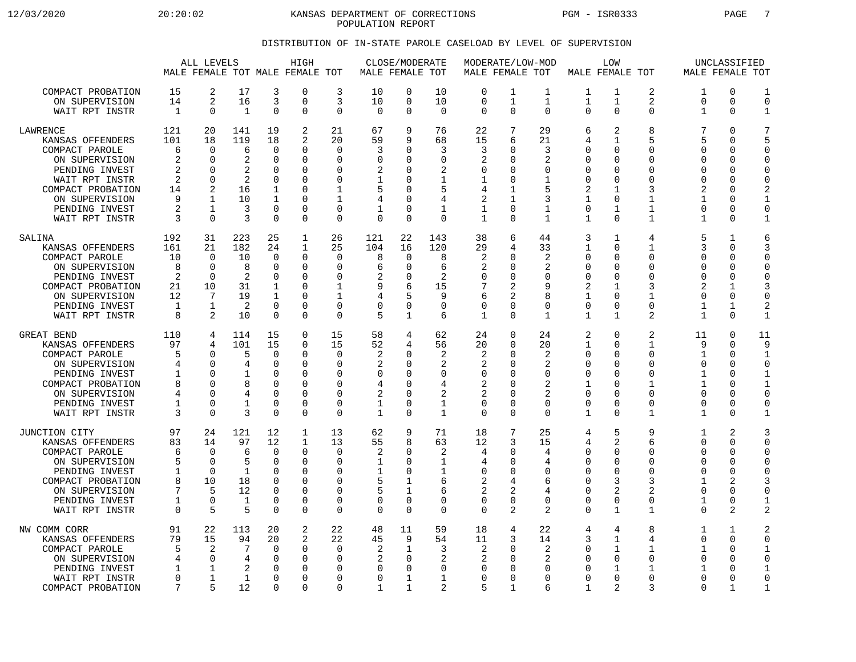12/03/2020 20:20:02 KANSAS DEPARTMENT OF CORRECTIONS PGM - ISR0333 PAGE 7 POPULATION REPORT

## DISTRIBUTION OF IN-STATE PAROLE CASELOAD BY LEVEL OF SUPERVISION

|                                                                                                                                                                                 |                                                     | ALL LEVELS                                                                                        |                                                           |                                                                                                 | HIGH<br>MALE FEMALE TOT MALE FEMALE TOT                                              |                                                                                            |                                                                   | CLOSE/MODERATE<br>MALE FEMALE TOT                                                              |                                                                                          | MODERATE/LOW-MOD<br>MALE FEMALE TOT                                    |                                                                                     |                                                                  |                                                                                                  | LOW<br>MALE FEMALE TOT                                                                                |                                                                                                               |                                                                                                     | UNCLASSIFIED<br>MALE FEMALE TOT                                                   |                                                                |
|---------------------------------------------------------------------------------------------------------------------------------------------------------------------------------|-----------------------------------------------------|---------------------------------------------------------------------------------------------------|-----------------------------------------------------------|-------------------------------------------------------------------------------------------------|--------------------------------------------------------------------------------------|--------------------------------------------------------------------------------------------|-------------------------------------------------------------------|------------------------------------------------------------------------------------------------|------------------------------------------------------------------------------------------|------------------------------------------------------------------------|-------------------------------------------------------------------------------------|------------------------------------------------------------------|--------------------------------------------------------------------------------------------------|-------------------------------------------------------------------------------------------------------|---------------------------------------------------------------------------------------------------------------|-----------------------------------------------------------------------------------------------------|-----------------------------------------------------------------------------------|----------------------------------------------------------------|
| COMPACT PROBATION<br>ON SUPERVISION<br>WAIT RPT INSTR                                                                                                                           | 15<br>14<br>$\mathbf{1}$                            | 2<br>2<br>0                                                                                       | 17<br>16<br>$\mathbf{1}$                                  | 3<br>3<br>$\mathbf 0$                                                                           | 0<br>$\Omega$<br>0                                                                   | 3<br>3<br>0                                                                                | 10<br>10<br>$\mathbf 0$                                           | 0<br>$\mathbf 0$<br>$\Omega$                                                                   | 10<br>10<br>$\mathbf 0$                                                                  | $\mathbf 0$<br>$\mathbf 0$<br>$\mathbf 0$                              | 1<br>$\mathbf{1}$<br>0                                                              | 1<br>$\mathbf{1}$<br>$\Omega$                                    | 1<br>$\mathbf 1$<br>$\Omega$                                                                     | 1<br>$\mathbf 1$<br>$\Omega$                                                                          | $\overline{2}$<br>$\overline{2}$<br>$\mathbf 0$                                                               | 1<br>$\overline{0}$<br>1                                                                            | 0<br>$\Omega$<br>0                                                                | 1<br>$\Omega$<br>$\mathbf 1$                                   |
| LAWRENCE<br>KANSAS OFFENDERS<br>COMPACT PAROLE<br>ON SUPERVISION<br>PENDING INVEST<br>WAIT RPT INSTR<br>COMPACT PROBATION<br>ON SUPERVISION<br>PENDING INVEST<br>WAIT RPT INSTR | 121<br>101<br>6<br>2<br>2<br>2<br>14<br>9<br>2<br>3 | 20<br>18<br>$\Omega$<br>$\Omega$<br>$\Omega$<br>$\Omega$<br>2<br>$\mathbf{1}$<br>1<br>$\Omega$    | 141<br>119<br>6<br>2<br>2<br>2<br>16<br>10<br>3<br>3      | 19<br>18<br>$\Omega$<br>$\Omega$<br>$\Omega$<br>0<br>1<br>$\mathbf 1$<br>0<br>$\mathbf 0$       | 2<br>$\overline{a}$<br>$\Omega$<br>0<br>$\Omega$<br>O<br>O<br>$\Omega$<br>0<br>0     | 21<br>20<br>$\Omega$<br>$\mathbf 0$<br>0<br>0<br>1<br>$\mathbf{1}$<br>0<br>$\mathbf 0$     | 67<br>59<br>3<br>$\Omega$<br>2<br>1<br>5<br>4<br>1<br>$\mathbf 0$ | 9<br>9<br>$\Omega$<br>$\Omega$<br>$\Omega$<br>0<br>$\Omega$<br>$\Omega$<br>0<br>$\Omega$       | 76<br>68<br>3<br>$\Omega$<br>2<br>1<br>5<br>4<br>1<br>$\mathbf 0$                        | 22<br>15<br>3<br>2<br>$\Omega$<br>1<br>4<br>$\overline{2}$<br>1<br>1   | 7<br>6<br>$\Omega$<br>$\Omega$<br>$\Omega$<br>0<br>1<br>$\mathbf{1}$<br>0<br>0      | 29<br>21<br>3<br>2<br>$\Omega$<br>1<br>5<br>3<br>1<br>1          | 6<br>4<br>$\Omega$<br>$\Omega$<br>$\Omega$<br>$\Omega$<br>2<br>$\mathbf 1$<br>0<br>1             | 2<br>$\mathbf 1$<br>$\Omega$<br>$\Omega$<br>$\Omega$<br>$\Omega$<br>1<br>$\Omega$<br>1<br>$\mathbf 0$ | 8<br>5<br>$\Omega$<br>$\Omega$<br>$\Omega$<br>$\Omega$<br>3<br>$\mathbf{1}$<br>1<br>1                         | 7<br>5<br>$\Omega$<br>$\mathbf 0$<br>$\Omega$<br>0<br>$\overline{2}$<br>1<br>0<br>$\mathbf 1$       | $\Omega$<br>0<br>0<br>$\Omega$<br>$\Omega$<br>0<br>$\Omega$<br>$\Omega$<br>0<br>0 | 7<br>5<br>$\Omega$<br>$\Omega$<br>$\Omega$<br>0<br>2<br>0<br>1 |
| SALINA<br>KANSAS OFFENDERS<br>COMPACT PAROLE<br>ON SUPERVISION<br>PENDING INVEST<br>COMPACT PROBATION<br>ON SUPERVISION<br>PENDING INVEST<br>WAIT RPT INSTR                     | 192<br>161<br>10<br>8<br>2<br>21<br>12<br>1<br>8    | 31<br>21<br>$\Omega$<br>$\Omega$<br>$\Omega$<br>10<br>7<br>1<br>2                                 | 223<br>182<br>10<br>8<br>2<br>31<br>19<br>2<br>10         | 25<br>24<br>$\Omega$<br>$\mathbf 0$<br>$\Omega$<br>1<br>$\mathbf 1$<br>$\mathbf 0$<br>$\Omega$  | $\mathbf{1}$<br>$\mathbf{1}$<br>$\Omega$<br>0<br>$\Omega$<br>0<br>$\Omega$<br>0<br>0 | 26<br>25<br>$\Omega$<br>$\mathbf 0$<br>0<br>1<br>$\mathbf 1$<br>$\mathbf 0$<br>$\mathbf 0$ | 121<br>104<br>8<br>6<br>2<br>9<br>4<br>$\Omega$<br>5              | 22<br>16<br>$\Omega$<br>$\mathbf 0$<br>0<br>6<br>5<br>$\mathbf 0$<br>1                         | 143<br>120<br>8<br>6<br>2<br>15<br>9<br>$\mathbf 0$<br>6                                 | 38<br>29<br>2<br>2<br>$\Omega$<br>7<br>6<br>0<br>1                     | 6<br>4<br>$\Omega$<br>$\mathbf 0$<br>$\Omega$<br>2<br>2<br>0<br>0                   | 44<br>33<br>2<br>2<br>$\Omega$<br>9<br>8<br>$\Omega$<br>1        | 3<br>1<br>$\Omega$<br>$\mathbf 0$<br>$\Omega$<br>2<br>$\mathbf 1$<br>0<br>$\mathbf 1$            | 1<br>$\Omega$<br>$\Omega$<br>$\Omega$<br>$\Omega$<br>1<br>$\Omega$<br>$\mathbf 0$<br>$\mathbf 1$      | 4<br>$\mathbf 1$<br>$\Omega$<br>$\mathbf 0$<br>$\Omega$<br>3<br>$\mathbf{1}$<br>$\mathbf 0$<br>2              | 5<br>3<br>$\Omega$<br>$\mathbf 0$<br>$\Omega$<br>2<br>$\Omega$<br>1<br>$\mathbf 1$                  | 1<br>0<br>0<br>0<br>$\Omega$<br>1<br>0<br>1<br>0                                  | 6<br>3<br>$\Omega$<br>$\Omega$<br>$\Omega$<br>3<br>0<br>2<br>1 |
| <b>GREAT BEND</b><br>KANSAS OFFENDERS<br>COMPACT PAROLE<br>ON SUPERVISION<br>PENDING INVEST<br>COMPACT PROBATION<br>ON SUPERVISION<br>PENDING INVEST<br>WAIT RPT INSTR          | 110<br>97<br>5<br>4<br>1<br>8<br>4<br>1<br>3        | 4<br>4<br>$\Omega$<br>$\Omega$<br>$\Omega$<br><sup>n</sup><br>$\mathbf 0$<br>$\Omega$<br>$\Omega$ | 114<br>101<br>5<br>4<br>8<br>4<br>-1<br>3                 | 15<br>15<br>0<br>0<br>$\Omega$<br>$\Omega$<br>$\mathbf 0$<br>$\Omega$<br>$\Omega$               | 0<br>0<br>$\Omega$<br>0<br>0<br>U<br>0<br>$\Omega$<br>0                              | 15<br>15<br>0<br>0<br>$\mathbf 0$<br>$\Omega$<br>$\mathbf 0$<br>$\mathbf 0$<br>$\mathbf 0$ | 58<br>52<br>2<br>2<br>0<br>4<br>2<br>1<br>1                       | 4<br>4<br><sup>0</sup><br>$\Omega$<br>$\Omega$<br>$\Omega$<br>$\Omega$<br>$\Omega$<br>$\Omega$ | 62<br>56<br>$\overline{2}$<br>2<br>$\mathbf 0$<br>4<br>2<br>$\mathbf{1}$<br>$\mathbf{1}$ | 24<br>20<br>2<br>2<br>$\mathbf 0$<br>2<br>2<br>$\mathbf 0$<br>$\Omega$ | $\Omega$<br>0<br>$\Omega$<br>0<br>$\Omega$<br>$\Omega$<br>0<br>$\Omega$<br>$\Omega$ | 24<br>20<br>2<br>2<br>$\Omega$<br>2<br>2<br>$\Omega$<br>$\Omega$ | $\overline{2}$<br>1<br>$\Omega$<br>0<br>$\Omega$<br>1<br>$\mathbf 0$<br>$\Omega$<br>$\mathbf{1}$ | $\Omega$<br>$\Omega$<br>$\Omega$<br>0<br>$\Omega$<br>$\Omega$<br>$\Omega$<br>$\Omega$<br>$\Omega$     | $\overline{2}$<br>1<br>$\Omega$<br>$\mathbf 0$<br>$\Omega$<br>1<br>$\mathbf 0$<br>$\mathbf 0$<br>$\mathbf{1}$ | 11<br>9<br>1<br>0<br>1<br>$\mathbf{1}$<br>$\mathbf 0$<br>0<br>$\mathbf 1$                           | 0<br>0<br>$\Omega$<br>0<br>0<br>$\Omega$<br>0<br>0<br>0                           | 11<br>9<br>1<br>0<br>1<br>0<br>0<br>$\mathbf{1}$               |
| JUNCTION CITY<br>KANSAS OFFENDERS<br>COMPACT PAROLE<br>ON SUPERVISION<br>PENDING INVEST<br>COMPACT PROBATION<br>ON SUPERVISION<br>PENDING INVEST<br>WAIT RPT INSTR              | 97<br>83<br>6<br>5<br>1<br>8<br>7<br>1<br>$\Omega$  | 24<br>14<br>0<br>$\Omega$<br>$\Omega$<br>10<br>5<br>$\mathbf 0$<br>5                              | 121<br>97<br>6<br>5<br>1<br>18<br>12<br>$\mathbf{1}$<br>5 | 12<br>12<br>$\mathbf 0$<br>$\Omega$<br>$\Omega$<br>$\Omega$<br>$\Omega$<br>$\Omega$<br>$\Omega$ | $\mathbf{1}$<br>$\mathbf{1}$<br>0<br>0<br>0<br>$\Omega$<br>O<br>0<br>$\Omega$        | 13<br>13<br>$\mathbf 0$<br>0<br>$\mathbf 0$<br>$\Omega$<br>0<br>$\mathbf 0$<br>$\Omega$    | 62<br>55<br>2<br>1<br>1<br>5<br>5<br>$\Omega$<br>$\Omega$         | 9<br>8<br>0<br>$\Omega$<br>$\Omega$<br>1<br>$\mathbf{1}$<br>$\mathbf 0$<br>$\Omega$            | 71<br>63<br>2<br>1<br>$\mathbf 1$<br>6<br>6<br>$\mathbf 0$<br>$\Omega$                   | 18<br>12<br>4<br>4<br>0<br>2<br>2<br>0<br>$\Omega$                     | 7<br>3<br>0<br>0<br>0<br>4<br>2<br>0<br>2                                           | 25<br>15<br>4<br>4<br>$\Omega$<br>6<br>4<br>$\Omega$<br>2        | 4<br>4<br>0<br>0<br>$\mathbf 0$<br>$\Omega$<br>$\Omega$<br>$\mathbf 0$<br>$\Omega$               | 5<br>2<br>$\Omega$<br>$\Omega$<br>$\mathbf 0$<br>3<br>2<br>$\mathbf 0$<br>$\mathbf{1}$                | 9<br>6<br>$\mathbf 0$<br>0<br>$\mathbf 0$<br>3<br>$\overline{2}$<br>$\mathbf 0$<br>$\mathbf{1}$               | 1<br>$\mathbf 0$<br>$\mathbf 0$<br>0<br>$\mathbf 0$<br>$\mathbf{1}$<br>0<br>$\mathbf 1$<br>$\Omega$ | 2<br>0<br>0<br>0<br>0<br>2<br>0<br>0<br>$\overline{a}$                            | 3<br>$\Omega$<br>$\Omega$<br>O<br>$\Omega$<br>3<br>0<br>1<br>2 |
| NW COMM CORR<br>KANSAS OFFENDERS<br>COMPACT PAROLE<br>ON SUPERVISION<br>PENDING INVEST<br>WAIT RPT INSTR<br>COMPACT PROBATION                                                   | 91<br>79<br>5<br>4<br>1<br>$\mathbf 0$<br>7         | 22<br>15<br>2<br>$\mathbf 0$<br>1<br>$\mathbf 1$<br>5                                             | 113<br>94<br>7<br>4<br>2<br>1<br>12                       | 20<br>20<br>$\Omega$<br>$\Omega$<br>$\Omega$<br>$\overline{0}$<br>$\Omega$                      | 2<br>2<br>$\Omega$<br>0<br>O<br>0<br>0                                               | 22<br>22<br>$\mathbf 0$<br>$\mathbf 0$<br>0<br>$\mathbf 0$<br>0                            | 48<br>45<br>2<br>2<br>$\Omega$<br>$\Omega$<br>1                   | 11<br>9<br>1<br>$\Omega$<br>$\Omega$<br>$\mathbf 1$<br>1                                       | 59<br>54<br>3<br>$\overline{2}$<br>$\Omega$<br>$\mathbf{1}$<br>$\overline{2}$            | 18<br>11<br>2<br>2<br>0<br>$\Omega$<br>5                               | 4<br>3<br>$\Omega$<br>$\Omega$<br>0<br>0<br>1                                       | 22<br>14<br>2<br>2<br>$\Omega$<br>$\Omega$<br>6                  | 4<br>3<br>$\Omega$<br>$\Omega$<br>0<br>0<br>1                                                    | 4<br>1<br>1<br>$\mathbf 0$<br>1<br>$\mathbf 0$<br>$\overline{2}$                                      | 8<br>4<br>$\mathbf{1}$<br>$\Omega$<br>1<br>$\mathbf 0$<br>3                                                   | 1<br>$\mathbf 0$<br>1<br>0<br>1<br>0<br>$\Omega$                                                    | 1<br>0<br>$\Omega$<br>0<br>0<br>0<br>$\mathbf{1}$                                 | 2<br>$\Omega$<br>1<br>$\Omega$<br>$\Omega$<br>-1               |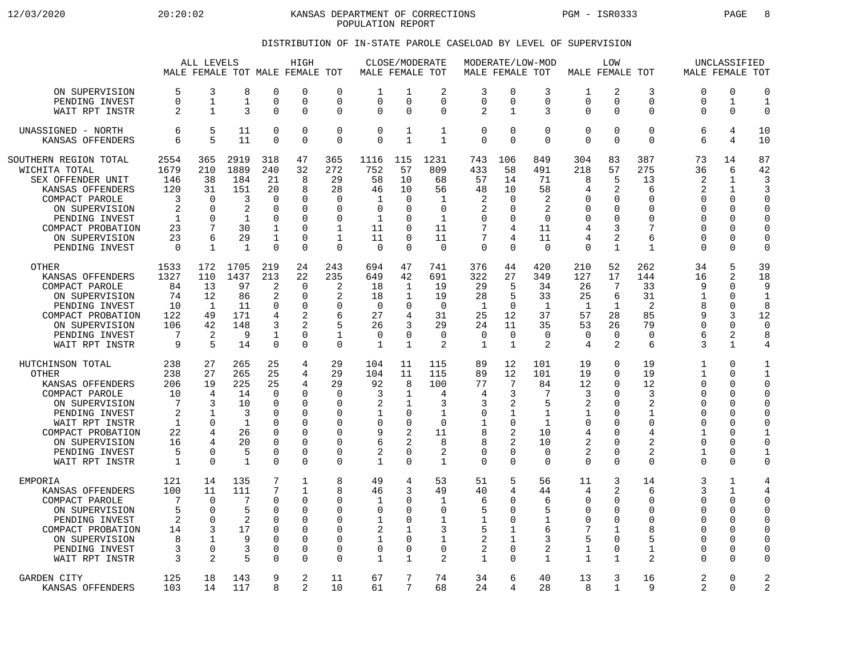12/03/2020 20:20:02 KANSAS DEPARTMENT OF CORRECTIONS PGM - ISR0333 PAGE 8 POPULATION REPORT

## DISTRIBUTION OF IN-STATE PAROLE CASELOAD BY LEVEL OF SUPERVISION

|                                                                                                                                                                                                         |                                                              | ALL LEVELS                                                                             |                                                                          |                                                                                                                      | HIGH<br>MALE FEMALE TOT MALE FEMALE TOT                                |                                                                                                             | MALE FEMALE TOT                                                 |                                                                                                                   | CLOSE/MODERATE                                                        |                                                                     | MALE FEMALE TOT                                                                     | MODERATE/LOW-MOD                                                                                     |                                                                                      | LOW<br>MALE FEMALE TOT                                                          |                                                                         |                                                                   | UNCLASSIFIED<br>MALE FEMALE TOT                                                                                    |                                                                                                                                   |
|---------------------------------------------------------------------------------------------------------------------------------------------------------------------------------------------------------|--------------------------------------------------------------|----------------------------------------------------------------------------------------|--------------------------------------------------------------------------|----------------------------------------------------------------------------------------------------------------------|------------------------------------------------------------------------|-------------------------------------------------------------------------------------------------------------|-----------------------------------------------------------------|-------------------------------------------------------------------------------------------------------------------|-----------------------------------------------------------------------|---------------------------------------------------------------------|-------------------------------------------------------------------------------------|------------------------------------------------------------------------------------------------------|--------------------------------------------------------------------------------------|---------------------------------------------------------------------------------|-------------------------------------------------------------------------|-------------------------------------------------------------------|--------------------------------------------------------------------------------------------------------------------|-----------------------------------------------------------------------------------------------------------------------------------|
| ON SUPERVISION                                                                                                                                                                                          | 5                                                            | 3                                                                                      | 8                                                                        | $\Omega$                                                                                                             | 0                                                                      | $\Omega$                                                                                                    | 1                                                               | 1                                                                                                                 | 2                                                                     | 3                                                                   | $\Omega$                                                                            | 3                                                                                                    | 1                                                                                    | 2                                                                               | 3                                                                       | 0                                                                 | $\Omega$                                                                                                           | $\overline{0}$                                                                                                                    |
| PENDING INVEST                                                                                                                                                                                          | 0                                                            | $\mathbf 1$                                                                            | $\mathbf{1}$                                                             | $\mathbf 0$                                                                                                          | 0                                                                      | $\Omega$                                                                                                    | $\Omega$                                                        | $\Omega$                                                                                                          | 0                                                                     | 0                                                                   | 0                                                                                   | $\mathbf 0$                                                                                          | $\mathbf 0$                                                                          | 0                                                                               | $\mathbf 0$                                                             | 0                                                                 | $\mathbf{1}$                                                                                                       | $\mathbf{1}$                                                                                                                      |
| WAIT RPT INSTR                                                                                                                                                                                          | $\overline{a}$                                               | $\mathbf{1}$                                                                           | 3                                                                        | $\Omega$                                                                                                             | 0                                                                      | $\Omega$                                                                                                    | $\Omega$                                                        | $\Omega$                                                                                                          | $\Omega$                                                              | $\overline{a}$                                                      | $\mathbf{1}$                                                                        | 3                                                                                                    | $\Omega$                                                                             | $\Omega$                                                                        | $\mathsf 0$                                                             | $\Omega$                                                          | $\Omega$                                                                                                           | $\Omega$                                                                                                                          |
| UNASSIGNED - NORTH                                                                                                                                                                                      | 6                                                            | 5                                                                                      | 11                                                                       | $\mathbf 0$                                                                                                          | 0                                                                      | $\mathbf 0$                                                                                                 | $\Omega$                                                        | 1                                                                                                                 | $\mathbf{1}$                                                          | 0                                                                   | $\mathbf 0$                                                                         | $\mathbf 0$                                                                                          | $\mathbf 0$                                                                          | 0                                                                               | $\mathbf 0$                                                             | 6                                                                 | 4                                                                                                                  | 10                                                                                                                                |
| KANSAS OFFENDERS                                                                                                                                                                                        | 6                                                            | 5                                                                                      | 11                                                                       | $\Omega$                                                                                                             | $\Omega$                                                               | $\Omega$                                                                                                    | $\Omega$                                                        | $\mathbf{1}$                                                                                                      | $\mathbf{1}$                                                          | 0                                                                   | $\Omega$                                                                            | $\Omega$                                                                                             | $\Omega$                                                                             | $\Omega$                                                                        | $\Omega$                                                                | 6                                                                 | 4                                                                                                                  | 10                                                                                                                                |
| SOUTHERN REGION TOTAL                                                                                                                                                                                   | 2554                                                         | 365                                                                                    | 2919                                                                     | 318                                                                                                                  | 47                                                                     | 365                                                                                                         | 1116                                                            | 115                                                                                                               | 1231                                                                  | 743                                                                 | 106                                                                                 | 849                                                                                                  | 304                                                                                  | 83                                                                              | 387                                                                     | 73                                                                | 14                                                                                                                 | 87                                                                                                                                |
| WICHITA TOTAL                                                                                                                                                                                           | 1679                                                         | 210                                                                                    | 1889                                                                     | 240                                                                                                                  | 32                                                                     | 272                                                                                                         | 752                                                             | 57                                                                                                                | 809                                                                   | 433                                                                 | 58                                                                                  | 491                                                                                                  | 218                                                                                  | 57                                                                              | 275                                                                     | 36                                                                | 6                                                                                                                  | 42                                                                                                                                |
| SEX OFFENDER UNIT                                                                                                                                                                                       | 146                                                          | 38                                                                                     | 184                                                                      | 21                                                                                                                   | 8                                                                      | 29                                                                                                          | 58                                                              | 10                                                                                                                | 68                                                                    | 57                                                                  | 14                                                                                  | 71                                                                                                   | 8                                                                                    | 5                                                                               | 13                                                                      | 2                                                                 | $\mathbf{1}$                                                                                                       | 3                                                                                                                                 |
| KANSAS OFFENDERS                                                                                                                                                                                        | 120                                                          | 31                                                                                     | 151                                                                      | 20                                                                                                                   | 8                                                                      | 28                                                                                                          | 46                                                              | 10                                                                                                                | 56                                                                    | 48                                                                  | 10                                                                                  | 58                                                                                                   | 4                                                                                    | $\overline{2}$                                                                  | 6                                                                       | $\overline{2}$                                                    | $\mathbf{1}$                                                                                                       | 3                                                                                                                                 |
| COMPACT PAROLE                                                                                                                                                                                          | 3                                                            | $\Omega$                                                                               | 3                                                                        | $\Omega$                                                                                                             | $\Omega$                                                               | $\Omega$                                                                                                    | 1                                                               | $\Omega$                                                                                                          | 1                                                                     | 2                                                                   | $\Omega$                                                                            | 2                                                                                                    | $\Omega$                                                                             | U                                                                               | 0                                                                       | U                                                                 | $\Omega$                                                                                                           | $\Omega$                                                                                                                          |
| ON SUPERVISION                                                                                                                                                                                          | $\overline{2}$                                               | $\Omega$                                                                               | 2                                                                        | $\mathbf 0$                                                                                                          | 0                                                                      | $\Omega$                                                                                                    | $\mathbf 0$                                                     | $\Omega$                                                                                                          | $\mathbf 0$                                                           | 2                                                                   | $\Omega$                                                                            | 2                                                                                                    | $\Omega$                                                                             | 0                                                                               | $\mathbf 0$                                                             | U                                                                 | $\Omega$                                                                                                           | $\Omega$                                                                                                                          |
| PENDING INVEST                                                                                                                                                                                          | 1                                                            | $\Omega$                                                                               | 1                                                                        | $\Omega$                                                                                                             | $\Omega$                                                               | $\Omega$                                                                                                    | 1                                                               | $\Omega$                                                                                                          | 1                                                                     | 0                                                                   | <sup>0</sup>                                                                        | 0                                                                                                    | $\Omega$                                                                             | $\Omega$                                                                        | $\Omega$                                                                | $\Omega$                                                          | $\Omega$                                                                                                           | $\Omega$                                                                                                                          |
| COMPACT PROBATION                                                                                                                                                                                       | 23                                                           | 7                                                                                      | 30                                                                       | $\mathbf{1}$                                                                                                         | U                                                                      | $\mathbf{1}$                                                                                                | 11                                                              | $\Omega$                                                                                                          | 11                                                                    | 7                                                                   | 4                                                                                   | 11                                                                                                   | 4                                                                                    | 3                                                                               | 7                                                                       | U                                                                 | $\Omega$                                                                                                           | $\Omega$                                                                                                                          |
| ON SUPERVISION                                                                                                                                                                                          | 23                                                           | 6                                                                                      | 29                                                                       | 1                                                                                                                    | 0                                                                      | $\mathbf{1}$                                                                                                | 11                                                              | $\mathbf 0$                                                                                                       | 11                                                                    | 7                                                                   | 4                                                                                   | 11                                                                                                   | 4                                                                                    | 2                                                                               | 6                                                                       | 0                                                                 | 0                                                                                                                  | 0                                                                                                                                 |
| PENDING INVEST                                                                                                                                                                                          | 0                                                            | $\mathbf{1}$                                                                           | $\overline{1}$                                                           | $\Omega$                                                                                                             | O                                                                      | $\Omega$                                                                                                    | $\Omega$                                                        | $\Omega$                                                                                                          | $\mathbf 0$                                                           | 0                                                                   | $\Omega$                                                                            | $\Omega$                                                                                             | $\Omega$                                                                             | $\mathbf{1}$                                                                    | 1                                                                       | $\Omega$                                                          | $\Omega$                                                                                                           | $\Omega$                                                                                                                          |
| <b>OTHER</b><br>KANSAS OFFENDERS<br>COMPACT PAROLE<br>ON SUPERVISION<br>PENDING INVEST<br>COMPACT PROBATION<br>ON SUPERVISION<br>PENDING INVEST<br>WAIT RPT INSTR                                       | 1533<br>1327<br>84<br>74<br>10<br>122<br>106<br>7<br>9       | 172<br>110<br>13<br>12<br>1<br>49<br>42<br>2<br>5                                      | 1705<br>1437<br>97<br>86<br>11<br>171<br>148<br>9<br>14                  | 219<br>213<br>2<br>$\overline{2}$<br>$\Omega$<br>4<br>3<br>1<br>$\mathbf 0$                                          | 24<br>22<br>0<br>0<br>$\Omega$<br>2<br>$\overline{2}$<br>$\Omega$<br>0 | 243<br>235<br>2<br>2<br>$\Omega$<br>6<br>$\mathbf{1}$<br>$\mathbf 0$                                        | 694<br>649<br>18<br>18<br>$\Omega$<br>27<br>26<br>$\Omega$<br>1 | 47<br>42<br>1<br>1<br>$\Omega$<br>4<br>3<br>$\Omega$<br>1                                                         | 741<br>691<br>19<br>19<br>$\Omega$<br>31<br>29<br>$\Omega$<br>2       | 376<br>322<br>29<br>28<br>1<br>25<br>24<br>$\Omega$<br>$\mathbf{1}$ | 44<br>27<br>5<br>5<br>$\Omega$<br>12<br>11<br>$\Omega$<br>$\mathbf{1}$              | 420<br>349<br>34<br>33<br>1<br>37<br>35<br>$\Omega$<br>2                                             | 210<br>127<br>26<br>25<br>1<br>57<br>53<br>$\Omega$<br>4                             | 52<br>17<br>7<br>6<br>1<br>28<br>26<br>$\Omega$<br>$\overline{2}$               | 262<br>144<br>33<br>31<br>2<br>85<br>79<br>$\Omega$<br>6                | 34<br>16<br>9<br>1<br>8<br>9<br>0<br>6<br>3                       | 5<br>2<br>$\Omega$<br>$\Omega$<br>$\Omega$<br>3<br>$\Omega$<br>2<br>$\mathbf{1}$                                   | 39<br>18<br>9<br>$\mathbf{1}$<br>8<br>12<br>$\overline{0}$<br>8<br>4                                                              |
| HUTCHINSON TOTAL<br><b>OTHER</b><br>KANSAS OFFENDERS<br>COMPACT PAROLE<br>ON SUPERVISION<br>PENDING INVEST<br>WAIT RPT INSTR<br>COMPACT PROBATION<br>ON SUPERVISION<br>PENDING INVEST<br>WAIT RPT INSTR | 238<br>238<br>206<br>10<br>7<br>2<br>1<br>22<br>16<br>5<br>1 | 27<br>27<br>19<br>4<br>3<br>$\mathbf{1}$<br>$\Omega$<br>4<br>4<br>$\Omega$<br>$\Omega$ | 265<br>265<br>225<br>14<br>10<br>3<br>1<br>26<br>20<br>5<br>$\mathbf{1}$ | 25<br>25<br>25<br>$\mathbf 0$<br>$\Omega$<br>$\Omega$<br>$\Omega$<br>$\Omega$<br>$\Omega$<br>$\mathbf 0$<br>$\Omega$ | 4<br>4<br>4<br>0<br>0<br>$\Omega$<br>0<br>O<br>$\Omega$<br>0<br>O      | 29<br>29<br>29<br>0<br>$\Omega$<br>$\Omega$<br>$\Omega$<br>$\Omega$<br>$\Omega$<br>0<br>$\Omega$            | 104<br>104<br>92<br>3<br>2<br>1<br>∩<br>9<br>6<br>2<br>1        | 11<br>11<br>8<br>1<br>1<br>$\Omega$<br>$\mathbf 0$<br>$\overline{2}$<br>$\mathfrak{D}$<br>$\mathbf 0$<br>$\Omega$ | 115<br>115<br>100<br>4<br>3<br>1<br>0<br>11<br>8<br>2<br>$\mathbf{1}$ | 89<br>89<br>77<br>4<br>3<br>0<br>1<br>8<br>8<br>0<br>0              | 12<br>12<br>7<br>3<br>2<br>1<br>$\Omega$<br>2<br>$\Omega$<br>$\Omega$               | 101<br>101<br>84<br>7<br>5<br>$\mathbf{1}$<br>$\mathbf{1}$<br>10<br>10<br>$\overline{0}$<br>$\Omega$ | 19<br>19<br>12<br>3<br>2<br>1<br>$\mathbf 0$<br>4<br>$\overline{2}$<br>2<br>$\Omega$ | $\Omega$<br>0<br>U<br>U<br>$\Omega$<br>U<br>U<br>U<br>$\Omega$<br>0<br>$\Omega$ | 19<br>19<br>12<br>3<br>2<br>1<br>$\mathbf 0$<br>4<br>2<br>2<br>$\Omega$ | 1<br>1<br>$\Omega$<br>0<br>0<br>U<br>U<br>1<br>$\Omega$<br>1<br>U | $\Omega$<br>$\Omega$<br>$\Omega$<br>0<br>$\Omega$<br>$\Omega$<br>$\Omega$<br>$\Omega$<br>$\Omega$<br>0<br>$\Omega$ | $\mathbf{1}$<br>$\mathbf{1}$<br>$\Omega$<br>$\Omega$<br>$\Omega$<br>$\Omega$<br>C<br>1<br>$\Omega$<br>$\mathbf{1}$<br>$\mathbf 0$ |
| EMPORIA<br>KANSAS OFFENDERS<br>COMPACT PAROLE<br>ON SUPERVISION<br>PENDING INVEST<br>COMPACT PROBATION<br>ON SUPERVISION<br>PENDING INVEST<br>WAIT RPT INSTR                                            | 121<br>100<br>7<br>5<br>2<br>14<br>8<br>3<br>3               | 14<br>11<br>$\Omega$<br>$\Omega$<br>$\Omega$<br>3<br>$\mathbf{1}$<br>$\Omega$<br>2     | 135<br>111<br>7<br>5<br>2<br>17<br>9<br>3<br>5                           | 7<br>7<br>$\Omega$<br>$\Omega$<br>$\Omega$<br>$\Omega$<br>$\Omega$<br>$\Omega$<br>$\Omega$                           | $\mathbf 1$<br>$\mathbf{1}$<br>O<br>0<br>O<br>U<br>O<br>O<br>0         | 8<br>$\mathsf{R}$<br>$\Omega$<br>$\mathbf 0$<br>$\Omega$<br>$\Omega$<br>$\Omega$<br>$\Omega$<br>$\mathbf 0$ | 49<br>46<br>1<br>$\mathbf 0$<br>1<br>2<br>1<br>$\Omega$<br>1    | 4<br>3<br>$\Omega$<br>$\Omega$<br>$\Omega$<br>1<br>$\Omega$<br>$\Omega$<br>1                                      | 53<br>49<br>1<br>0<br>$\mathbf{1}$<br>3<br>$\mathbf{1}$<br>0<br>2     | 51<br>40<br>6<br>5<br>1<br>5<br>2<br>2<br>$\mathbf{1}$              | 5<br>4<br><sup>0</sup><br><sup>0</sup><br><sup>0</sup><br>1<br>$\Omega$<br>$\Omega$ | 56<br>44<br>6<br>5<br>1<br>6<br>3<br>2<br>1                                                          | 11<br>4<br>0<br>$\mathbf 0$<br>$\mathbf 0$<br>7<br>5<br>$\mathbf 1$<br>$\mathbf{1}$  | 3<br>2<br>U<br>0<br>U<br>1<br>$\Omega$<br>$\Omega$<br>1                         | 14<br>6<br>0<br>$\Omega$<br>$\Omega$<br>8<br>5<br>1<br>2                | 3<br>3<br>U<br>0<br>O<br>U<br>U<br>0<br>0                         | 1<br>1<br>0<br>0<br>$\Omega$<br>$\Omega$<br>$\Omega$<br>$\Omega$<br>$\Omega$                                       | 4<br>$\overline{4}$<br>$\Omega$<br>$\mathbf 0$<br>$\Omega$<br>C<br>0<br>$\Omega$<br>C                                             |
| <b>GARDEN CITY</b>                                                                                                                                                                                      | 125                                                          | 18                                                                                     | 143                                                                      | 9                                                                                                                    | 2                                                                      | 11                                                                                                          | 67                                                              | 7                                                                                                                 | 74                                                                    | 34                                                                  | 6                                                                                   | 40                                                                                                   | 13                                                                                   | 3                                                                               | 16                                                                      | 2                                                                 | $\Omega$                                                                                                           | 2                                                                                                                                 |
| KANSAS OFFENDERS                                                                                                                                                                                        | 103                                                          | 14                                                                                     | 117                                                                      | 8                                                                                                                    | $\overline{2}$                                                         | 10                                                                                                          | 61                                                              | 7                                                                                                                 | 68                                                                    | 24                                                                  | 4                                                                                   | 28                                                                                                   | 8                                                                                    | $\mathbf{1}$                                                                    | 9                                                                       | 2                                                                 | $\Omega$                                                                                                           | $\overline{2}$                                                                                                                    |